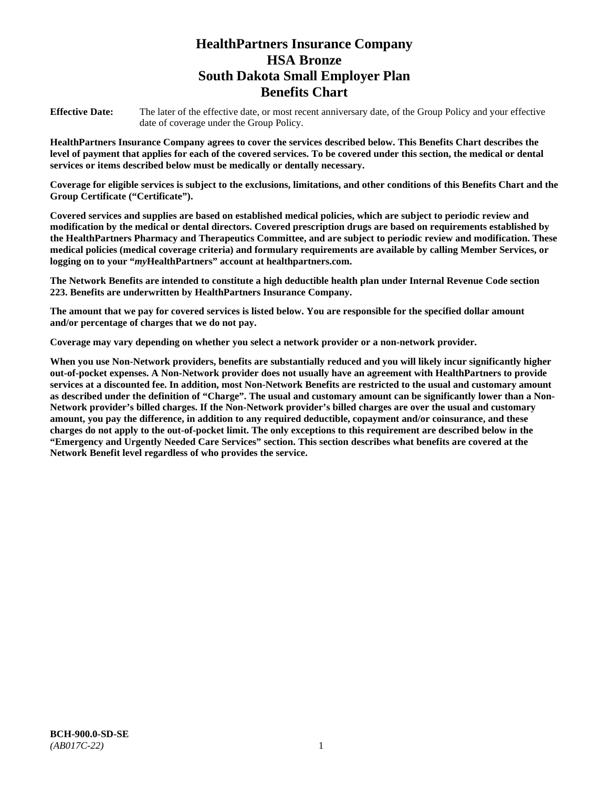# **HealthPartners Insurance Company HSA Bronze South Dakota Small Employer Plan Benefits Chart**

**Effective Date:** The later of the effective date, or most recent anniversary date, of the Group Policy and your effective date of coverage under the Group Policy.

**HealthPartners Insurance Company agrees to cover the services described below. This Benefits Chart describes the level of payment that applies for each of the covered services. To be covered under this section, the medical or dental services or items described below must be medically or dentally necessary.**

**Coverage for eligible services is subject to the exclusions, limitations, and other conditions of this Benefits Chart and the Group Certificate ("Certificate").**

**Covered services and supplies are based on established medical policies, which are subject to periodic review and modification by the medical or dental directors. Covered prescription drugs are based on requirements established by the HealthPartners Pharmacy and Therapeutics Committee, and are subject to periodic review and modification. These medical policies (medical coverage criteria) and formulary requirements are available by calling Member Services, or logging on to your "***my***HealthPartners" account at [healthpartners.com.](file://isntmacsrv0/www.healthpartners.com)**

**The Network Benefits are intended to constitute a high deductible health plan under Internal Revenue Code section 223. Benefits are underwritten by HealthPartners Insurance Company.**

**The amount that we pay for covered services is listed below. You are responsible for the specified dollar amount and/or percentage of charges that we do not pay.**

**Coverage may vary depending on whether you select a network provider or a non-network provider.**

**When you use Non-Network providers, benefits are substantially reduced and you will likely incur significantly higher out-of-pocket expenses. A Non-Network provider does not usually have an agreement with HealthPartners to provide services at a discounted fee. In addition, most Non-Network Benefits are restricted to the usual and customary amount as described under the definition of "Charge". The usual and customary amount can be significantly lower than a Non-Network provider's billed charges. If the Non-Network provider's billed charges are over the usual and customary amount, you pay the difference, in addition to any required deductible, copayment and/or coinsurance, and these charges do not apply to the out-of-pocket limit. The only exceptions to this requirement are described below in the "Emergency and Urgently Needed Care Services" section. This section describes what benefits are covered at the Network Benefit level regardless of who provides the service.**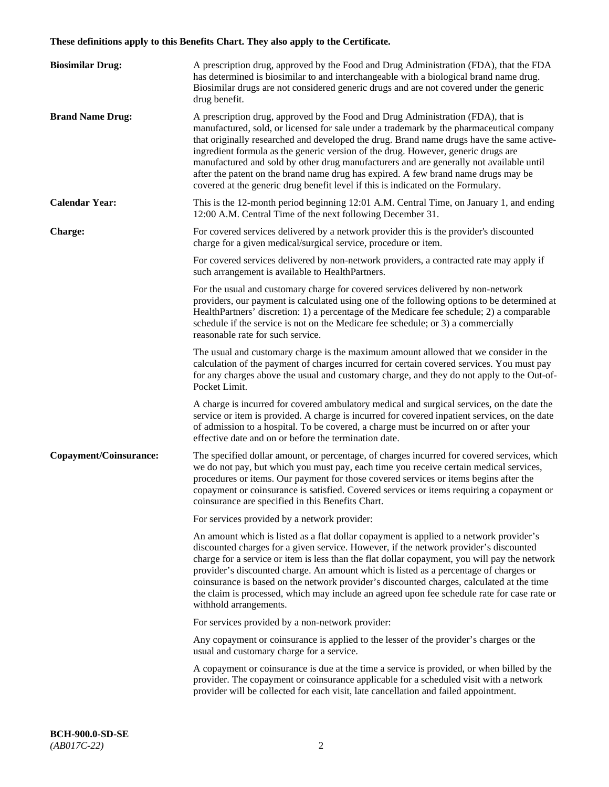# **These definitions apply to this Benefits Chart. They also apply to the Certificate.**

| <b>Biosimilar Drug:</b> | A prescription drug, approved by the Food and Drug Administration (FDA), that the FDA<br>has determined is biosimilar to and interchangeable with a biological brand name drug.<br>Biosimilar drugs are not considered generic drugs and are not covered under the generic<br>drug benefit.                                                                                                                                                                                                                                                                                                                                         |
|-------------------------|-------------------------------------------------------------------------------------------------------------------------------------------------------------------------------------------------------------------------------------------------------------------------------------------------------------------------------------------------------------------------------------------------------------------------------------------------------------------------------------------------------------------------------------------------------------------------------------------------------------------------------------|
| <b>Brand Name Drug:</b> | A prescription drug, approved by the Food and Drug Administration (FDA), that is<br>manufactured, sold, or licensed for sale under a trademark by the pharmaceutical company<br>that originally researched and developed the drug. Brand name drugs have the same active-<br>ingredient formula as the generic version of the drug. However, generic drugs are<br>manufactured and sold by other drug manufacturers and are generally not available until<br>after the patent on the brand name drug has expired. A few brand name drugs may be<br>covered at the generic drug benefit level if this is indicated on the Formulary. |
| <b>Calendar Year:</b>   | This is the 12-month period beginning 12:01 A.M. Central Time, on January 1, and ending<br>12:00 A.M. Central Time of the next following December 31.                                                                                                                                                                                                                                                                                                                                                                                                                                                                               |
| <b>Charge:</b>          | For covered services delivered by a network provider this is the provider's discounted<br>charge for a given medical/surgical service, procedure or item.                                                                                                                                                                                                                                                                                                                                                                                                                                                                           |
|                         | For covered services delivered by non-network providers, a contracted rate may apply if<br>such arrangement is available to HealthPartners.                                                                                                                                                                                                                                                                                                                                                                                                                                                                                         |
|                         | For the usual and customary charge for covered services delivered by non-network<br>providers, our payment is calculated using one of the following options to be determined at<br>HealthPartners' discretion: 1) a percentage of the Medicare fee schedule; 2) a comparable<br>schedule if the service is not on the Medicare fee schedule; or 3) a commercially<br>reasonable rate for such service.                                                                                                                                                                                                                              |
|                         | The usual and customary charge is the maximum amount allowed that we consider in the<br>calculation of the payment of charges incurred for certain covered services. You must pay<br>for any charges above the usual and customary charge, and they do not apply to the Out-of-<br>Pocket Limit.                                                                                                                                                                                                                                                                                                                                    |
|                         | A charge is incurred for covered ambulatory medical and surgical services, on the date the<br>service or item is provided. A charge is incurred for covered inpatient services, on the date<br>of admission to a hospital. To be covered, a charge must be incurred on or after your<br>effective date and on or before the termination date.                                                                                                                                                                                                                                                                                       |
| Copayment/Coinsurance:  | The specified dollar amount, or percentage, of charges incurred for covered services, which<br>we do not pay, but which you must pay, each time you receive certain medical services,<br>procedures or items. Our payment for those covered services or items begins after the<br>copayment or coinsurance is satisfied. Covered services or items requiring a copayment or<br>coinsurance are specified in this Benefits Chart.                                                                                                                                                                                                    |
|                         | For services provided by a network provider:                                                                                                                                                                                                                                                                                                                                                                                                                                                                                                                                                                                        |
|                         | An amount which is listed as a flat dollar copayment is applied to a network provider's<br>discounted charges for a given service. However, if the network provider's discounted<br>charge for a service or item is less than the flat dollar copayment, you will pay the network<br>provider's discounted charge. An amount which is listed as a percentage of charges or<br>coinsurance is based on the network provider's discounted charges, calculated at the time<br>the claim is processed, which may include an agreed upon fee schedule rate for case rate or<br>withhold arrangements.                                    |
|                         | For services provided by a non-network provider:                                                                                                                                                                                                                                                                                                                                                                                                                                                                                                                                                                                    |
|                         | Any copayment or coinsurance is applied to the lesser of the provider's charges or the<br>usual and customary charge for a service.                                                                                                                                                                                                                                                                                                                                                                                                                                                                                                 |
|                         | A copayment or coinsurance is due at the time a service is provided, or when billed by the<br>provider. The copayment or coinsurance applicable for a scheduled visit with a network<br>provider will be collected for each visit, late cancellation and failed appointment.                                                                                                                                                                                                                                                                                                                                                        |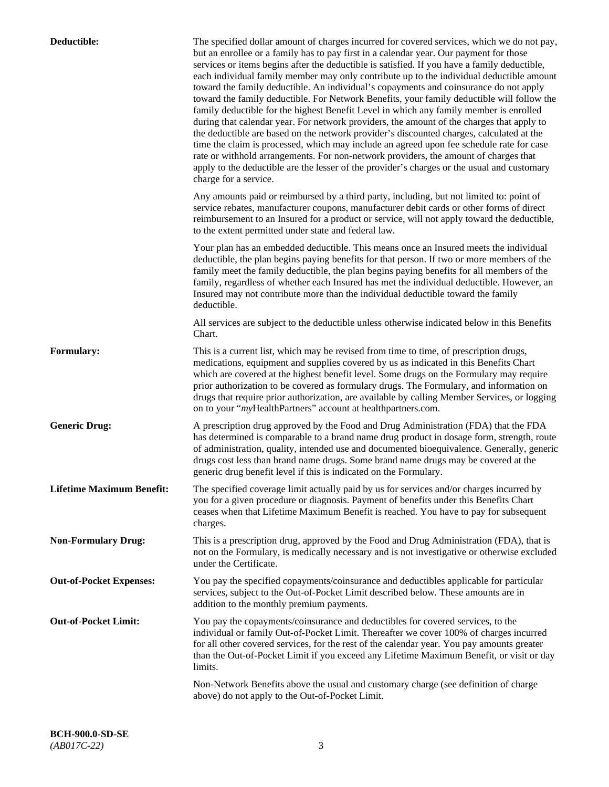| Deductible:                      | The specified dollar amount of charges incurred for covered services, which we do not pay,<br>but an enrollee or a family has to pay first in a calendar year. Our payment for those<br>services or items begins after the deductible is satisfied. If you have a family deductible,<br>each individual family member may only contribute up to the individual deductible amount<br>toward the family deductible. An individual's copayments and coinsurance do not apply<br>toward the family deductible. For Network Benefits, your family deductible will follow the<br>family deductible for the highest Benefit Level in which any family member is enrolled<br>during that calendar year. For network providers, the amount of the charges that apply to<br>the deductible are based on the network provider's discounted charges, calculated at the<br>time the claim is processed, which may include an agreed upon fee schedule rate for case<br>rate or withhold arrangements. For non-network providers, the amount of charges that<br>apply to the deductible are the lesser of the provider's charges or the usual and customary<br>charge for a service. |
|----------------------------------|------------------------------------------------------------------------------------------------------------------------------------------------------------------------------------------------------------------------------------------------------------------------------------------------------------------------------------------------------------------------------------------------------------------------------------------------------------------------------------------------------------------------------------------------------------------------------------------------------------------------------------------------------------------------------------------------------------------------------------------------------------------------------------------------------------------------------------------------------------------------------------------------------------------------------------------------------------------------------------------------------------------------------------------------------------------------------------------------------------------------------------------------------------------------|
|                                  | Any amounts paid or reimbursed by a third party, including, but not limited to: point of<br>service rebates, manufacturer coupons, manufacturer debit cards or other forms of direct<br>reimbursement to an Insured for a product or service, will not apply toward the deductible,<br>to the extent permitted under state and federal law.                                                                                                                                                                                                                                                                                                                                                                                                                                                                                                                                                                                                                                                                                                                                                                                                                            |
|                                  | Your plan has an embedded deductible. This means once an Insured meets the individual<br>deductible, the plan begins paying benefits for that person. If two or more members of the<br>family meet the family deductible, the plan begins paying benefits for all members of the<br>family, regardless of whether each Insured has met the individual deductible. However, an<br>Insured may not contribute more than the individual deductible toward the family<br>deductible.                                                                                                                                                                                                                                                                                                                                                                                                                                                                                                                                                                                                                                                                                       |
|                                  | All services are subject to the deductible unless otherwise indicated below in this Benefits<br>Chart.                                                                                                                                                                                                                                                                                                                                                                                                                                                                                                                                                                                                                                                                                                                                                                                                                                                                                                                                                                                                                                                                 |
| <b>Formulary:</b>                | This is a current list, which may be revised from time to time, of prescription drugs,<br>medications, equipment and supplies covered by us as indicated in this Benefits Chart<br>which are covered at the highest benefit level. Some drugs on the Formulary may require<br>prior authorization to be covered as formulary drugs. The Formulary, and information on<br>drugs that require prior authorization, are available by calling Member Services, or logging<br>on to your "myHealthPartners" account at healthpartners.com.                                                                                                                                                                                                                                                                                                                                                                                                                                                                                                                                                                                                                                  |
| <b>Generic Drug:</b>             | A prescription drug approved by the Food and Drug Administration (FDA) that the FDA<br>has determined is comparable to a brand name drug product in dosage form, strength, route<br>of administration, quality, intended use and documented bioequivalence. Generally, generic<br>drugs cost less than brand name drugs. Some brand name drugs may be covered at the<br>generic drug benefit level if this is indicated on the Formulary.                                                                                                                                                                                                                                                                                                                                                                                                                                                                                                                                                                                                                                                                                                                              |
| <b>Lifetime Maximum Benefit:</b> | The specified coverage limit actually paid by us for services and/or charges incurred by<br>you for a given procedure or diagnosis. Payment of benefits under this Benefits Chart<br>ceases when that Lifetime Maximum Benefit is reached. You have to pay for subsequent<br>charges.                                                                                                                                                                                                                                                                                                                                                                                                                                                                                                                                                                                                                                                                                                                                                                                                                                                                                  |
| <b>Non-Formulary Drug:</b>       | This is a prescription drug, approved by the Food and Drug Administration (FDA), that is<br>not on the Formulary, is medically necessary and is not investigative or otherwise excluded<br>under the Certificate.                                                                                                                                                                                                                                                                                                                                                                                                                                                                                                                                                                                                                                                                                                                                                                                                                                                                                                                                                      |
| <b>Out-of-Pocket Expenses:</b>   | You pay the specified copayments/coinsurance and deductibles applicable for particular<br>services, subject to the Out-of-Pocket Limit described below. These amounts are in<br>addition to the monthly premium payments.                                                                                                                                                                                                                                                                                                                                                                                                                                                                                                                                                                                                                                                                                                                                                                                                                                                                                                                                              |
| <b>Out-of-Pocket Limit:</b>      | You pay the copayments/coinsurance and deductibles for covered services, to the<br>individual or family Out-of-Pocket Limit. Thereafter we cover 100% of charges incurred<br>for all other covered services, for the rest of the calendar year. You pay amounts greater<br>than the Out-of-Pocket Limit if you exceed any Lifetime Maximum Benefit, or visit or day<br>limits.                                                                                                                                                                                                                                                                                                                                                                                                                                                                                                                                                                                                                                                                                                                                                                                         |
|                                  | Non-Network Benefits above the usual and customary charge (see definition of charge<br>above) do not apply to the Out-of-Pocket Limit.                                                                                                                                                                                                                                                                                                                                                                                                                                                                                                                                                                                                                                                                                                                                                                                                                                                                                                                                                                                                                                 |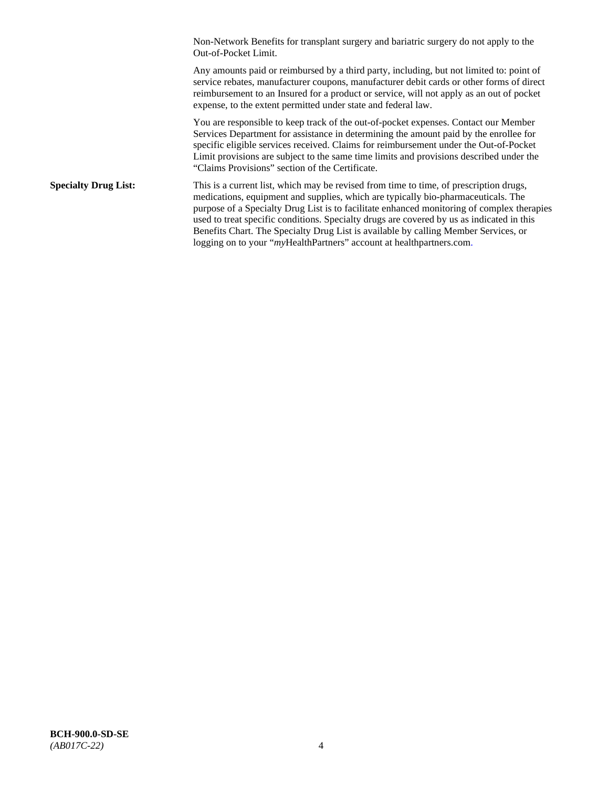Non-Network Benefits for transplant surgery and bariatric surgery do not apply to the Out-of-Pocket Limit.

Any amounts paid or reimbursed by a third party, including, but not limited to: point of service rebates, manufacturer coupons, manufacturer debit cards or other forms of direct reimbursement to an Insured for a product or service, will not apply as an out of pocket expense, to the extent permitted under state and federal law.

You are responsible to keep track of the out-of-pocket expenses. Contact our Member Services Department for assistance in determining the amount paid by the enrollee for specific eligible services received. Claims for reimbursement under the Out-of-Pocket Limit provisions are subject to the same time limits and provisions described under the "Claims Provisions" section of the Certificate.

**Specialty Drug List:** This is a current list, which may be revised from time to time, of prescription drugs, medications, equipment and supplies, which are typically bio-pharmaceuticals. The purpose of a Specialty Drug List is to facilitate enhanced monitoring of complex therapies used to treat specific conditions. Specialty drugs are covered by us as indicated in this Benefits Chart. The Specialty Drug List is available by calling Member Services, or logging on to your "*my*HealthPartners" account at [healthpartners.com.](http://healthpartners.com/)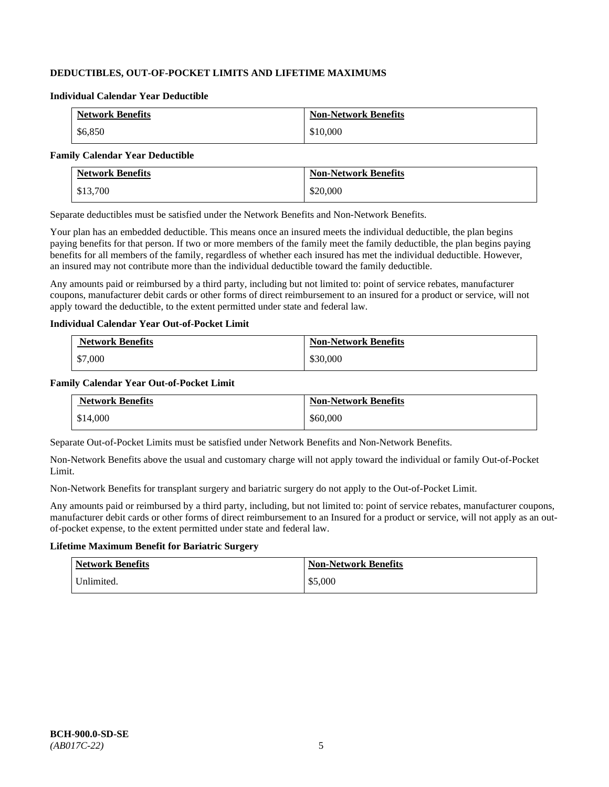# **DEDUCTIBLES, OUT-OF-POCKET LIMITS AND LIFETIME MAXIMUMS**

#### **Individual Calendar Year Deductible**

| <b>Network Benefits</b> | <b>Non-Network Benefits</b> |
|-------------------------|-----------------------------|
| \$6,850                 | \$10,000                    |

#### **Family Calendar Year Deductible**

| <b>Network Benefits</b> | <b>Non-Network Benefits</b> |
|-------------------------|-----------------------------|
| \$13,700                | \$20,000                    |

Separate deductibles must be satisfied under the Network Benefits and Non-Network Benefits.

Your plan has an embedded deductible. This means once an insured meets the individual deductible, the plan begins paying benefits for that person. If two or more members of the family meet the family deductible, the plan begins paying benefits for all members of the family, regardless of whether each insured has met the individual deductible. However, an insured may not contribute more than the individual deductible toward the family deductible.

Any amounts paid or reimbursed by a third party, including but not limited to: point of service rebates, manufacturer coupons, manufacturer debit cards or other forms of direct reimbursement to an insured for a product or service, will not apply toward the deductible, to the extent permitted under state and federal law.

### **Individual Calendar Year Out-of-Pocket Limit**

| <b>Network Benefits</b> | <b>Non-Network Benefits</b> |
|-------------------------|-----------------------------|
| \$7,000                 | \$30,000                    |

### **Family Calendar Year Out-of-Pocket Limit**

| <b>Network Benefits</b> | <b>Non-Network Benefits</b> |
|-------------------------|-----------------------------|
| \$14,000                | \$60,000                    |

Separate Out-of-Pocket Limits must be satisfied under Network Benefits and Non-Network Benefits.

Non-Network Benefits above the usual and customary charge will not apply toward the individual or family Out-of-Pocket Limit.

Non-Network Benefits for transplant surgery and bariatric surgery do not apply to the Out-of-Pocket Limit.

Any amounts paid or reimbursed by a third party, including, but not limited to: point of service rebates, manufacturer coupons, manufacturer debit cards or other forms of direct reimbursement to an Insured for a product or service, will not apply as an outof-pocket expense, to the extent permitted under state and federal law.

## **Lifetime Maximum Benefit for Bariatric Surgery**

| <b>Network Benefits</b> | <b>Non-Network Benefits</b> |
|-------------------------|-----------------------------|
| Unlimited.              | \$5,000                     |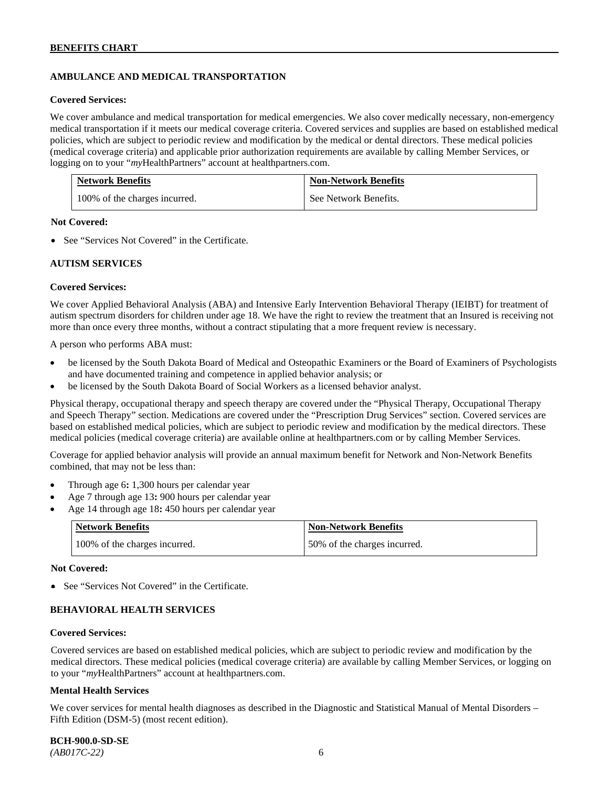# **AMBULANCE AND MEDICAL TRANSPORTATION**

#### **Covered Services:**

We cover ambulance and medical transportation for medical emergencies. We also cover medically necessary, non-emergency medical transportation if it meets our medical coverage criteria. Covered services and supplies are based on established medical policies, which are subject to periodic review and modification by the medical or dental directors. These medical policies (medical coverage criteria) and applicable prior authorization requirements are available by calling Member Services, or logging on to your "*my*HealthPartners" account at [healthpartners.com.](http://healthpartners.com/)

| <b>Network Benefits</b>       | <b>Non-Network Benefits</b> |
|-------------------------------|-----------------------------|
| 100% of the charges incurred. | See Network Benefits.       |

### **Not Covered:**

• See "Services Not Covered" in the Certificate.

### **AUTISM SERVICES**

### **Covered Services:**

We cover Applied Behavioral Analysis (ABA) and Intensive Early Intervention Behavioral Therapy (IEIBT) for treatment of autism spectrum disorders for children under age 18. We have the right to review the treatment that an Insured is receiving not more than once every three months, without a contract stipulating that a more frequent review is necessary.

A person who performs ABA must:

- be licensed by the South Dakota Board of Medical and Osteopathic Examiners or the Board of Examiners of Psychologists and have documented training and competence in applied behavior analysis; or
- be licensed by the South Dakota Board of Social Workers as a licensed behavior analyst.

Physical therapy, occupational therapy and speech therapy are covered under the "Physical Therapy, Occupational Therapy and Speech Therapy" section. Medications are covered under the "Prescription Drug Services" section. Covered services are based on established medical policies, which are subject to periodic review and modification by the medical directors. These medical policies (medical coverage criteria) are available online at [healthpartners.com](http://healthpartners.com/) or by calling Member Services.

Coverage for applied behavior analysis will provide an annual maximum benefit for Network and Non-Network Benefits combined, that may not be less than:

- Through age 6**:** 1,300 hours per calendar year
- Age 7 through age 13**:** 900 hours per calendar year
- Age 14 through age 18**:** 450 hours per calendar year

| <b>Network Benefits</b>       | <b>Non-Network Benefits</b>  |
|-------------------------------|------------------------------|
| 100% of the charges incurred. | 50% of the charges incurred. |

#### **Not Covered:**

• See "Services Not Covered" in the Certificate.

### **BEHAVIORAL HEALTH SERVICES**

#### **Covered Services:**

Covered services are based on established medical policies, which are subject to periodic review and modification by the medical directors. These medical policies (medical coverage criteria) are available by calling Member Services, or logging on to your "*my*HealthPartners" account at [healthpartners.com.](http://healthpartners.com/)

#### **Mental Health Services**

We cover services for mental health diagnoses as described in the Diagnostic and Statistical Manual of Mental Disorders – Fifth Edition (DSM-5) (most recent edition).

**BCH-900.0-SD-SE**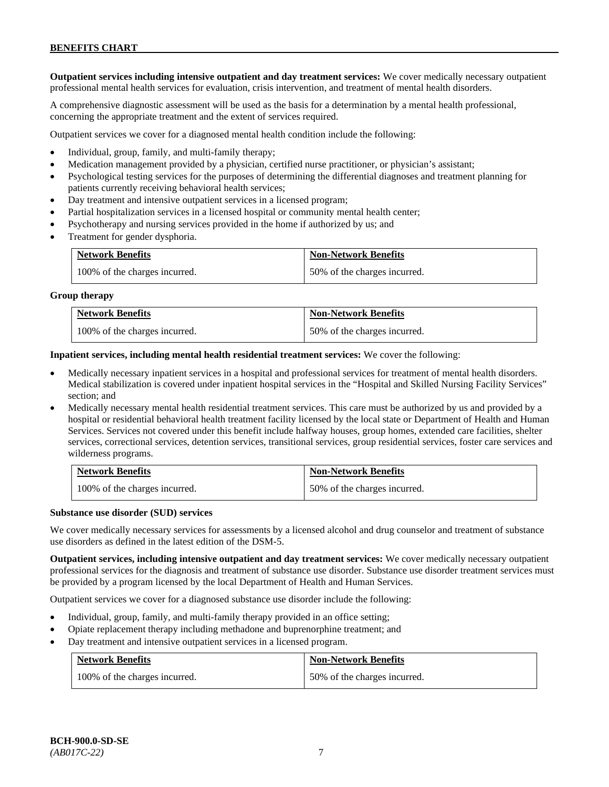**Outpatient services including intensive outpatient and day treatment services:** We cover medically necessary outpatient professional mental health services for evaluation, crisis intervention, and treatment of mental health disorders.

A comprehensive diagnostic assessment will be used as the basis for a determination by a mental health professional, concerning the appropriate treatment and the extent of services required.

Outpatient services we cover for a diagnosed mental health condition include the following:

- Individual, group, family, and multi-family therapy;
- Medication management provided by a physician, certified nurse practitioner, or physician's assistant;
- Psychological testing services for the purposes of determining the differential diagnoses and treatment planning for patients currently receiving behavioral health services;
- Day treatment and intensive outpatient services in a licensed program;
- Partial hospitalization services in a licensed hospital or community mental health center;
- Psychotherapy and nursing services provided in the home if authorized by us; and
- Treatment for gender dysphoria.

| <b>Network Benefits</b>       | <b>Non-Network Benefits</b>  |
|-------------------------------|------------------------------|
| 100% of the charges incurred. | 50% of the charges incurred. |

#### **Group therapy**

| <b>Network Benefits</b>       | <b>Non-Network Benefits</b>  |
|-------------------------------|------------------------------|
| 100% of the charges incurred. | 50% of the charges incurred. |

**Inpatient services, including mental health residential treatment services:** We cover the following:

- Medically necessary inpatient services in a hospital and professional services for treatment of mental health disorders. Medical stabilization is covered under inpatient hospital services in the "Hospital and Skilled Nursing Facility Services" section; and
- Medically necessary mental health residential treatment services. This care must be authorized by us and provided by a hospital or residential behavioral health treatment facility licensed by the local state or Department of Health and Human Services. Services not covered under this benefit include halfway houses, group homes, extended care facilities, shelter services, correctional services, detention services, transitional services, group residential services, foster care services and wilderness programs.

| <b>Network Benefits</b>       | <b>Non-Network Benefits</b>  |
|-------------------------------|------------------------------|
| 100% of the charges incurred. | 50% of the charges incurred. |

#### **Substance use disorder (SUD) services**

We cover medically necessary services for assessments by a licensed alcohol and drug counselor and treatment of substance use disorders as defined in the latest edition of the DSM-5.

**Outpatient services, including intensive outpatient and day treatment services:** We cover medically necessary outpatient professional services for the diagnosis and treatment of substance use disorder. Substance use disorder treatment services must be provided by a program licensed by the local Department of Health and Human Services.

Outpatient services we cover for a diagnosed substance use disorder include the following:

- Individual, group, family, and multi-family therapy provided in an office setting;
- Opiate replacement therapy including methadone and buprenorphine treatment; and
- Day treatment and intensive outpatient services in a licensed program.

| <b>Network Benefits</b>       | <b>Non-Network Benefits</b>  |
|-------------------------------|------------------------------|
| 100% of the charges incurred. | 50% of the charges incurred. |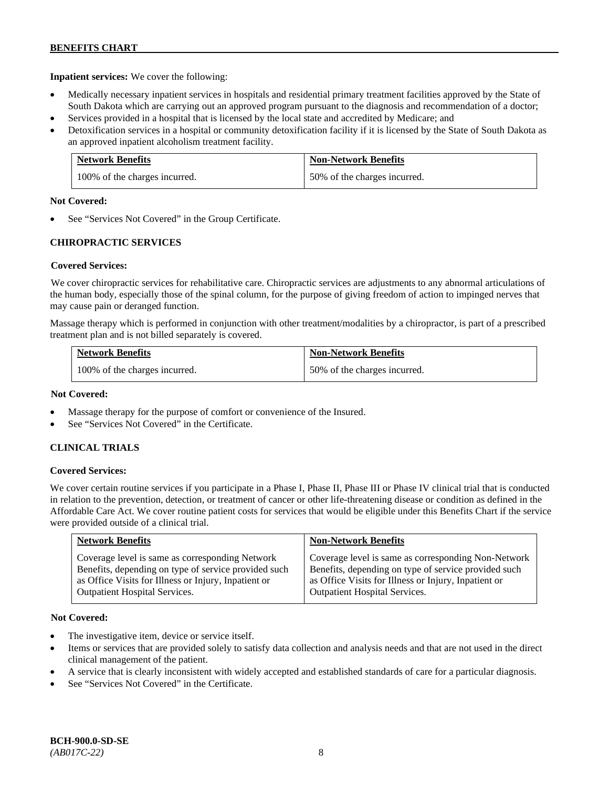**Inpatient services:** We cover the following:

- Medically necessary inpatient services in hospitals and residential primary treatment facilities approved by the State of South Dakota which are carrying out an approved program pursuant to the diagnosis and recommendation of a doctor;
- Services provided in a hospital that is licensed by the local state and accredited by Medicare; and
- Detoxification services in a hospital or community detoxification facility if it is licensed by the State of South Dakota as an approved inpatient alcoholism treatment facility.

| <b>Network Benefits</b>       | <b>Non-Network Benefits</b>  |
|-------------------------------|------------------------------|
| 100% of the charges incurred. | 50% of the charges incurred. |

### **Not Covered:**

See "Services Not Covered" in the Group Certificate.

# **CHIROPRACTIC SERVICES**

### **Covered Services:**

We cover chiropractic services for rehabilitative care. Chiropractic services are adjustments to any abnormal articulations of the human body, especially those of the spinal column, for the purpose of giving freedom of action to impinged nerves that may cause pain or deranged function.

Massage therapy which is performed in conjunction with other treatment/modalities by a chiropractor, is part of a prescribed treatment plan and is not billed separately is covered.

| <b>Network Benefits</b>       | <b>Non-Network Benefits</b>  |
|-------------------------------|------------------------------|
| 100% of the charges incurred. | 50% of the charges incurred. |

### **Not Covered:**

- Massage therapy for the purpose of comfort or convenience of the Insured.
- See "Services Not Covered" in the Certificate.

### **CLINICAL TRIALS**

### **Covered Services:**

We cover certain routine services if you participate in a Phase I, Phase II, Phase III or Phase IV clinical trial that is conducted in relation to the prevention, detection, or treatment of cancer or other life-threatening disease or condition as defined in the Affordable Care Act. We cover routine patient costs for services that would be eligible under this Benefits Chart if the service were provided outside of a clinical trial.

| <b>Network Benefits</b>                              | <b>Non-Network Benefits</b>                          |
|------------------------------------------------------|------------------------------------------------------|
| Coverage level is same as corresponding Network      | Coverage level is same as corresponding Non-Network  |
| Benefits, depending on type of service provided such | Benefits, depending on type of service provided such |
| as Office Visits for Illness or Injury, Inpatient or | as Office Visits for Illness or Injury, Inpatient or |
| <b>Outpatient Hospital Services.</b>                 | <b>Outpatient Hospital Services.</b>                 |

### **Not Covered:**

- The investigative item, device or service itself.
- Items or services that are provided solely to satisfy data collection and analysis needs and that are not used in the direct clinical management of the patient.
- A service that is clearly inconsistent with widely accepted and established standards of care for a particular diagnosis.
- See "Services Not Covered" in the Certificate.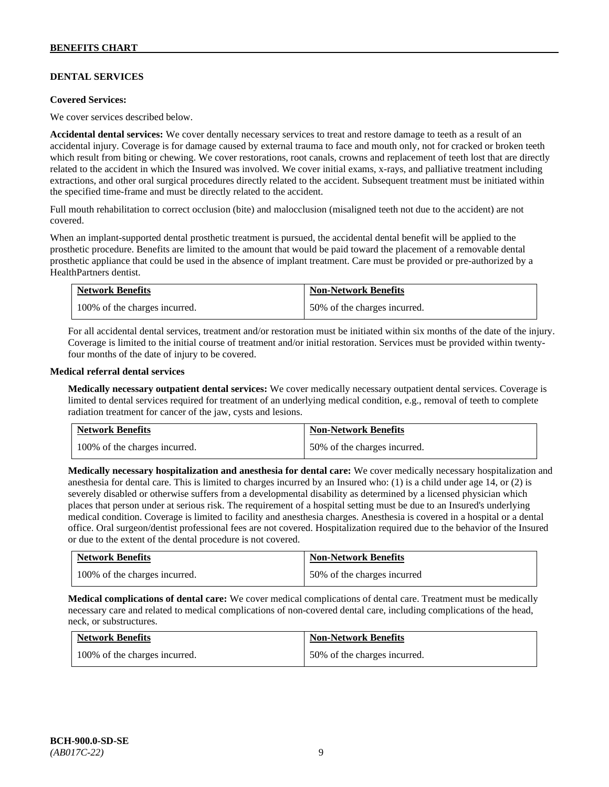# **DENTAL SERVICES**

#### **Covered Services:**

We cover services described below.

**Accidental dental services:** We cover dentally necessary services to treat and restore damage to teeth as a result of an accidental injury. Coverage is for damage caused by external trauma to face and mouth only, not for cracked or broken teeth which result from biting or chewing. We cover restorations, root canals, crowns and replacement of teeth lost that are directly related to the accident in which the Insured was involved. We cover initial exams, x-rays, and palliative treatment including extractions, and other oral surgical procedures directly related to the accident. Subsequent treatment must be initiated within the specified time-frame and must be directly related to the accident.

Full mouth rehabilitation to correct occlusion (bite) and malocclusion (misaligned teeth not due to the accident) are not covered.

When an implant-supported dental prosthetic treatment is pursued, the accidental dental benefit will be applied to the prosthetic procedure. Benefits are limited to the amount that would be paid toward the placement of a removable dental prosthetic appliance that could be used in the absence of implant treatment. Care must be provided or pre-authorized by a HealthPartners dentist.

| <b>Network Benefits</b>       | <b>Non-Network Benefits</b>  |
|-------------------------------|------------------------------|
| 100% of the charges incurred. | 50% of the charges incurred. |

For all accidental dental services, treatment and/or restoration must be initiated within six months of the date of the injury. Coverage is limited to the initial course of treatment and/or initial restoration. Services must be provided within twentyfour months of the date of injury to be covered.

### **Medical referral dental services**

**Medically necessary outpatient dental services:** We cover medically necessary outpatient dental services. Coverage is limited to dental services required for treatment of an underlying medical condition, e.g., removal of teeth to complete radiation treatment for cancer of the jaw, cysts and lesions.

| <b>Network Benefits</b>       | <b>Non-Network Benefits</b>  |
|-------------------------------|------------------------------|
| 100% of the charges incurred. | 50% of the charges incurred. |

**Medically necessary hospitalization and anesthesia for dental care:** We cover medically necessary hospitalization and anesthesia for dental care. This is limited to charges incurred by an Insured who: (1) is a child under age 14, or (2) is severely disabled or otherwise suffers from a developmental disability as determined by a licensed physician which places that person under at serious risk. The requirement of a hospital setting must be due to an Insured's underlying medical condition. Coverage is limited to facility and anesthesia charges. Anesthesia is covered in a hospital or a dental office. Oral surgeon/dentist professional fees are not covered. Hospitalization required due to the behavior of the Insured or due to the extent of the dental procedure is not covered.

| <b>Network Benefits</b>       | <b>Non-Network Benefits</b> |
|-------------------------------|-----------------------------|
| 100% of the charges incurred. | 50% of the charges incurred |

**Medical complications of dental care:** We cover medical complications of dental care. Treatment must be medically necessary care and related to medical complications of non-covered dental care, including complications of the head, neck, or substructures.

| <b>Network Benefits</b>       | <b>Non-Network Benefits</b>  |
|-------------------------------|------------------------------|
| 100% of the charges incurred. | 50% of the charges incurred. |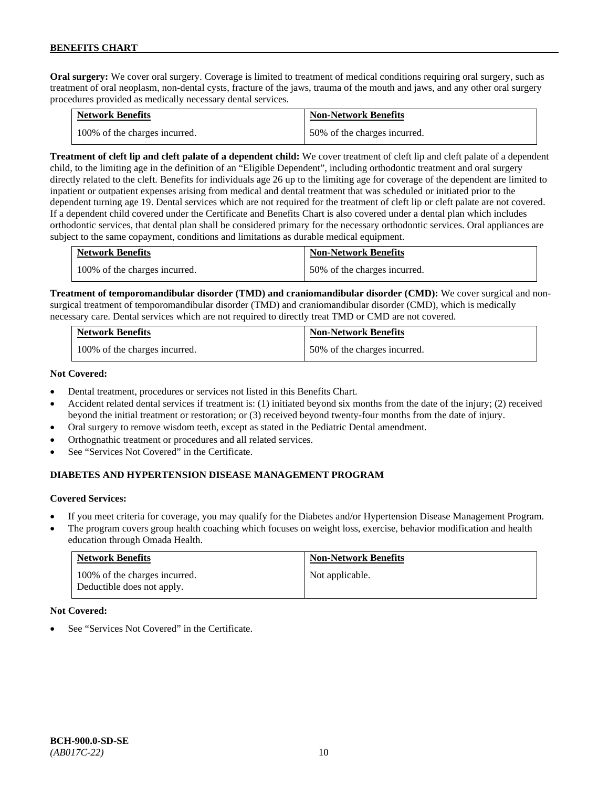**Oral surgery:** We cover oral surgery. Coverage is limited to treatment of medical conditions requiring oral surgery, such as treatment of oral neoplasm, non-dental cysts, fracture of the jaws, trauma of the mouth and jaws, and any other oral surgery procedures provided as medically necessary dental services.

| <b>Network Benefits</b>       | <b>Non-Network Benefits</b>  |
|-------------------------------|------------------------------|
| 100% of the charges incurred. | 50% of the charges incurred. |

**Treatment of cleft lip and cleft palate of a dependent child:** We cover treatment of cleft lip and cleft palate of a dependent child, to the limiting age in the definition of an "Eligible Dependent", including orthodontic treatment and oral surgery directly related to the cleft. Benefits for individuals age 26 up to the limiting age for coverage of the dependent are limited to inpatient or outpatient expenses arising from medical and dental treatment that was scheduled or initiated prior to the dependent turning age 19. Dental services which are not required for the treatment of cleft lip or cleft palate are not covered. If a dependent child covered under the Certificate and Benefits Chart is also covered under a dental plan which includes orthodontic services, that dental plan shall be considered primary for the necessary orthodontic services. Oral appliances are subject to the same copayment, conditions and limitations as durable medical equipment.

| <b>Network Benefits</b>       | <b>Non-Network Benefits</b>  |
|-------------------------------|------------------------------|
| 100% of the charges incurred. | 50% of the charges incurred. |

**Treatment of temporomandibular disorder (TMD) and craniomandibular disorder (CMD):** We cover surgical and nonsurgical treatment of temporomandibular disorder (TMD) and craniomandibular disorder (CMD), which is medically necessary care. Dental services which are not required to directly treat TMD or CMD are not covered.

| <b>Network Benefits</b>       | <b>Non-Network Benefits</b>  |
|-------------------------------|------------------------------|
| 100% of the charges incurred. | 50% of the charges incurred. |

### **Not Covered:**

- Dental treatment, procedures or services not listed in this Benefits Chart.
- Accident related dental services if treatment is: (1) initiated beyond six months from the date of the injury; (2) received beyond the initial treatment or restoration; or (3) received beyond twenty-four months from the date of injury.
- Oral surgery to remove wisdom teeth, except as stated in the Pediatric Dental amendment.
- Orthognathic treatment or procedures and all related services.
- See "Services Not Covered" in the Certificate.

### **DIABETES AND HYPERTENSION DISEASE MANAGEMENT PROGRAM**

### **Covered Services:**

- If you meet criteria for coverage, you may qualify for the Diabetes and/or Hypertension Disease Management Program.
- The program covers group health coaching which focuses on weight loss, exercise, behavior modification and health education through Omada Health.

| <b>Network Benefits</b>                                     | <b>Non-Network Benefits</b> |
|-------------------------------------------------------------|-----------------------------|
| 100% of the charges incurred.<br>Deductible does not apply. | Not applicable.             |

#### **Not Covered:**

See "Services Not Covered" in the Certificate.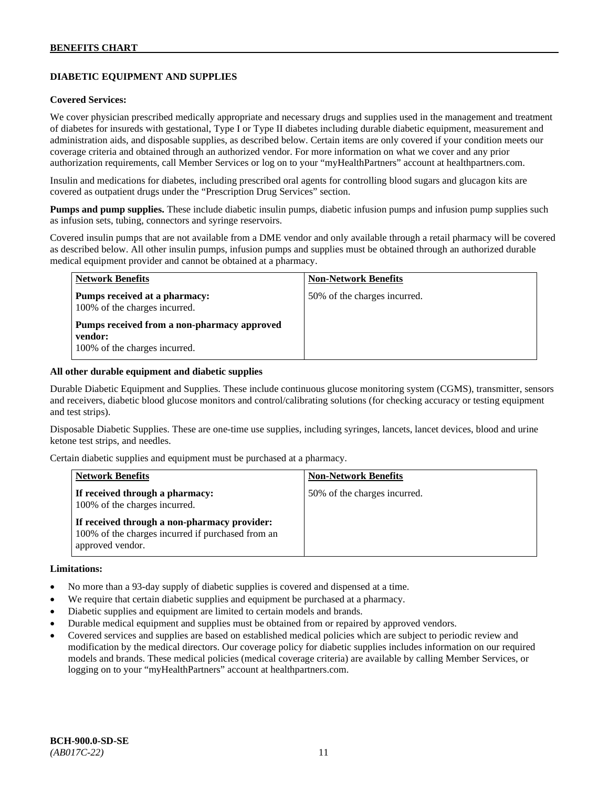# **DIABETIC EQUIPMENT AND SUPPLIES**

### **Covered Services:**

We cover physician prescribed medically appropriate and necessary drugs and supplies used in the management and treatment of diabetes for insureds with gestational, Type I or Type II diabetes including durable diabetic equipment, measurement and administration aids, and disposable supplies, as described below. Certain items are only covered if your condition meets our coverage criteria and obtained through an authorized vendor. For more information on what we cover and any prior authorization requirements, call Member Services or log on to your "myHealthPartners" account at [healthpartners.com.](http://www.healthpartners.com/)

Insulin and medications for diabetes, including prescribed oral agents for controlling blood sugars and glucagon kits are covered as outpatient drugs under the "Prescription Drug Services" section.

**Pumps and pump supplies.** These include diabetic insulin pumps, diabetic infusion pumps and infusion pump supplies such as infusion sets, tubing, connectors and syringe reservoirs.

Covered insulin pumps that are not available from a DME vendor and only available through a retail pharmacy will be covered as described below. All other insulin pumps, infusion pumps and supplies must be obtained through an authorized durable medical equipment provider and cannot be obtained at a pharmacy.

| <b>Network Benefits</b>                                                                 | <b>Non-Network Benefits</b>  |
|-----------------------------------------------------------------------------------------|------------------------------|
| Pumps received at a pharmacy:<br>100% of the charges incurred.                          | 50% of the charges incurred. |
| Pumps received from a non-pharmacy approved<br>vendor:<br>100% of the charges incurred. |                              |

#### **All other durable equipment and diabetic supplies**

Durable Diabetic Equipment and Supplies. These include continuous glucose monitoring system (CGMS), transmitter, sensors and receivers, diabetic blood glucose monitors and control/calibrating solutions (for checking accuracy or testing equipment and test strips).

Disposable Diabetic Supplies. These are one-time use supplies, including syringes, lancets, lancet devices, blood and urine ketone test strips, and needles.

Certain diabetic supplies and equipment must be purchased at a pharmacy.

| <b>Network Benefits</b>                                                                                               | <b>Non-Network Benefits</b>  |
|-----------------------------------------------------------------------------------------------------------------------|------------------------------|
| If received through a pharmacy:<br>100% of the charges incurred.                                                      | 50% of the charges incurred. |
| If received through a non-pharmacy provider:<br>100% of the charges incurred if purchased from an<br>approved vendor. |                              |

#### **Limitations:**

- No more than a 93-day supply of diabetic supplies is covered and dispensed at a time.
- We require that certain diabetic supplies and equipment be purchased at a pharmacy.
- Diabetic supplies and equipment are limited to certain models and brands.
- Durable medical equipment and supplies must be obtained from or repaired by approved vendors.
- Covered services and supplies are based on established medical policies which are subject to periodic review and modification by the medical directors. Our coverage policy for diabetic supplies includes information on our required models and brands. These medical policies (medical coverage criteria) are available by calling Member Services, or logging on to your "myHealthPartners" account at [healthpartners.com.](http://www.healthpartners.com/)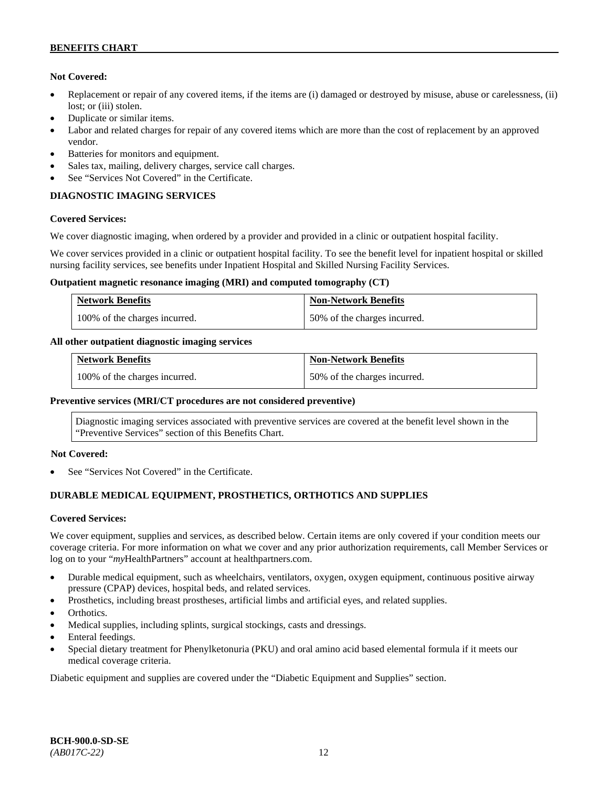### **Not Covered:**

- Replacement or repair of any covered items, if the items are (i) damaged or destroyed by misuse, abuse or carelessness, (ii) lost; or (iii) stolen.
- Duplicate or similar items.
- Labor and related charges for repair of any covered items which are more than the cost of replacement by an approved vendor.
- Batteries for monitors and equipment.
- Sales tax, mailing, delivery charges, service call charges.
- See "Services Not Covered" in the Certificate.

# **DIAGNOSTIC IMAGING SERVICES**

### **Covered Services:**

We cover diagnostic imaging, when ordered by a provider and provided in a clinic or outpatient hospital facility.

We cover services provided in a clinic or outpatient hospital facility. To see the benefit level for inpatient hospital or skilled nursing facility services, see benefits under Inpatient Hospital and Skilled Nursing Facility Services.

### **Outpatient magnetic resonance imaging (MRI) and computed tomography (CT)**

| <b>Network Benefits</b>       | <b>Non-Network Benefits</b>  |
|-------------------------------|------------------------------|
| 100% of the charges incurred. | 50% of the charges incurred. |

### **All other outpatient diagnostic imaging services**

| <b>Network Benefits</b>       | <b>Non-Network Benefits</b>  |
|-------------------------------|------------------------------|
| 100% of the charges incurred. | 50% of the charges incurred. |

### **Preventive services (MRI/CT procedures are not considered preventive)**

Diagnostic imaging services associated with preventive services are covered at the benefit level shown in the "Preventive Services" section of this Benefits Chart.

### **Not Covered:**

See "Services Not Covered" in the Certificate.

# **DURABLE MEDICAL EQUIPMENT, PROSTHETICS, ORTHOTICS AND SUPPLIES**

### **Covered Services:**

We cover equipment, supplies and services, as described below. Certain items are only covered if your condition meets our coverage criteria. For more information on what we cover and any prior authorization requirements, call Member Services or log on to your "*my*HealthPartners" account at [healthpartners.com.](http://healthpartners.com/)

- Durable medical equipment, such as wheelchairs, ventilators, oxygen, oxygen equipment, continuous positive airway pressure (CPAP) devices, hospital beds, and related services.
- Prosthetics, including breast prostheses, artificial limbs and artificial eyes, and related supplies.
- Orthotics.
- Medical supplies, including splints, surgical stockings, casts and dressings.
- Enteral feedings.
- Special dietary treatment for Phenylketonuria (PKU) and oral amino acid based elemental formula if it meets our medical coverage criteria.

Diabetic equipment and supplies are covered under the "Diabetic Equipment and Supplies" section.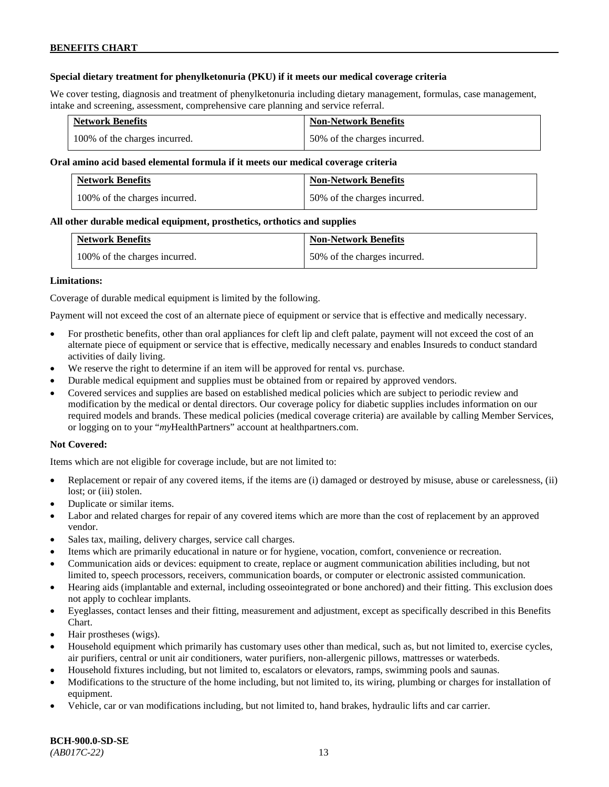### **Special dietary treatment for phenylketonuria (PKU) if it meets our medical coverage criteria**

We cover testing, diagnosis and treatment of phenylketonuria including dietary management, formulas, case management, intake and screening, assessment, comprehensive care planning and service referral.

| <b>Network Benefits</b>       | <b>Non-Network Benefits</b>  |
|-------------------------------|------------------------------|
| 100% of the charges incurred. | 50% of the charges incurred. |

### **Oral amino acid based elemental formula if it meets our medical coverage criteria**

| <b>Network Benefits</b>       | <b>Non-Network Benefits</b>  |
|-------------------------------|------------------------------|
| 100% of the charges incurred. | 50% of the charges incurred. |

### **All other durable medical equipment, prosthetics, orthotics and supplies**

| <b>Network Benefits</b>       | <b>Non-Network Benefits</b>  |
|-------------------------------|------------------------------|
| 100% of the charges incurred. | 50% of the charges incurred. |

### **Limitations:**

Coverage of durable medical equipment is limited by the following.

Payment will not exceed the cost of an alternate piece of equipment or service that is effective and medically necessary.

- For prosthetic benefits, other than oral appliances for cleft lip and cleft palate, payment will not exceed the cost of an alternate piece of equipment or service that is effective, medically necessary and enables Insureds to conduct standard activities of daily living.
- We reserve the right to determine if an item will be approved for rental vs. purchase.
- Durable medical equipment and supplies must be obtained from or repaired by approved vendors.
- Covered services and supplies are based on established medical policies which are subject to periodic review and modification by the medical or dental directors. Our coverage policy for diabetic supplies includes information on our required models and brands. These medical policies (medical coverage criteria) are available by calling Member Services, or logging on to your "*my*HealthPartners" account at [healthpartners.com.](http://www.healthpartners.com/)

### **Not Covered:**

Items which are not eligible for coverage include, but are not limited to:

- Replacement or repair of any covered items, if the items are (i) damaged or destroyed by misuse, abuse or carelessness, (ii) lost; or (iii) stolen.
- Duplicate or similar items.
- Labor and related charges for repair of any covered items which are more than the cost of replacement by an approved vendor.
- Sales tax, mailing, delivery charges, service call charges.
- Items which are primarily educational in nature or for hygiene, vocation, comfort, convenience or recreation.
- Communication aids or devices: equipment to create, replace or augment communication abilities including, but not limited to, speech processors, receivers, communication boards, or computer or electronic assisted communication.
- Hearing aids (implantable and external, including osseointegrated or bone anchored) and their fitting. This exclusion does not apply to cochlear implants.
- Eyeglasses, contact lenses and their fitting, measurement and adjustment, except as specifically described in this Benefits Chart.
- Hair prostheses (wigs).
- Household equipment which primarily has customary uses other than medical, such as, but not limited to, exercise cycles, air purifiers, central or unit air conditioners, water purifiers, non-allergenic pillows, mattresses or waterbeds.
- Household fixtures including, but not limited to, escalators or elevators, ramps, swimming pools and saunas.
- Modifications to the structure of the home including, but not limited to, its wiring, plumbing or charges for installation of equipment.
- Vehicle, car or van modifications including, but not limited to, hand brakes, hydraulic lifts and car carrier.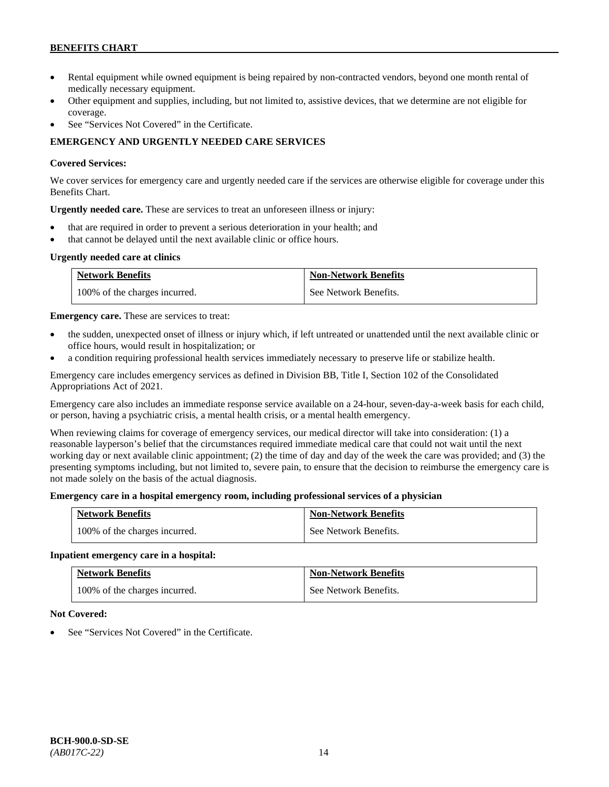- Rental equipment while owned equipment is being repaired by non-contracted vendors, beyond one month rental of medically necessary equipment.
- Other equipment and supplies, including, but not limited to, assistive devices, that we determine are not eligible for coverage.
- See "Services Not Covered" in the Certificate.

# **EMERGENCY AND URGENTLY NEEDED CARE SERVICES**

### **Covered Services:**

We cover services for emergency care and urgently needed care if the services are otherwise eligible for coverage under this Benefits Chart.

**Urgently needed care.** These are services to treat an unforeseen illness or injury:

- that are required in order to prevent a serious deterioration in your health; and
- that cannot be delayed until the next available clinic or office hours.

### **Urgently needed care at clinics**

| <b>Network Benefits</b>       | <b>Non-Network Benefits</b> |
|-------------------------------|-----------------------------|
| 100% of the charges incurred. | See Network Benefits.       |

**Emergency care.** These are services to treat:

- the sudden, unexpected onset of illness or injury which, if left untreated or unattended until the next available clinic or office hours, would result in hospitalization; or
- a condition requiring professional health services immediately necessary to preserve life or stabilize health.

Emergency care includes emergency services as defined in Division BB, Title I, Section 102 of the Consolidated Appropriations Act of 2021.

Emergency care also includes an immediate response service available on a 24-hour, seven-day-a-week basis for each child, or person, having a psychiatric crisis, a mental health crisis, or a mental health emergency.

When reviewing claims for coverage of emergency services, our medical director will take into consideration: (1) a reasonable layperson's belief that the circumstances required immediate medical care that could not wait until the next working day or next available clinic appointment; (2) the time of day and day of the week the care was provided; and (3) the presenting symptoms including, but not limited to, severe pain, to ensure that the decision to reimburse the emergency care is not made solely on the basis of the actual diagnosis.

### **Emergency care in a hospital emergency room, including professional services of a physician**

| <b>Network Benefits</b>       | <b>Non-Network Benefits</b> |
|-------------------------------|-----------------------------|
| 100% of the charges incurred. | See Network Benefits.       |

### **Inpatient emergency care in a hospital:**

| <b>Network Benefits</b>       | <b>Non-Network Benefits</b> |
|-------------------------------|-----------------------------|
| 100% of the charges incurred. | See Network Benefits.       |

### **Not Covered:**

See "Services Not Covered" in the Certificate.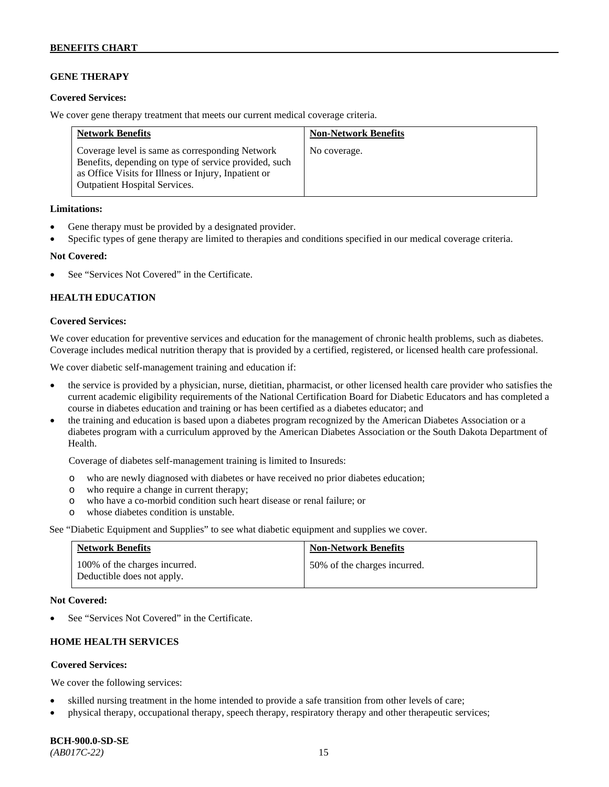### **GENE THERAPY**

### **Covered Services:**

We cover gene therapy treatment that meets our current medical coverage criteria.

| <b>Network Benefits</b>                                                                                                                                                                                  | <b>Non-Network Benefits</b> |
|----------------------------------------------------------------------------------------------------------------------------------------------------------------------------------------------------------|-----------------------------|
| Coverage level is same as corresponding Network<br>Benefits, depending on type of service provided, such<br>as Office Visits for Illness or Injury, Inpatient or<br><b>Outpatient Hospital Services.</b> | No coverage.                |

### **Limitations:**

- Gene therapy must be provided by a designated provider.
- Specific types of gene therapy are limited to therapies and conditions specified in our medical coverage criteria.

### **Not Covered:**

See "Services Not Covered" in the Certificate.

### **HEALTH EDUCATION**

### **Covered Services:**

We cover education for preventive services and education for the management of chronic health problems, such as diabetes. Coverage includes medical nutrition therapy that is provided by a certified, registered, or licensed health care professional.

We cover diabetic self-management training and education if:

- the service is provided by a physician, nurse, dietitian, pharmacist, or other licensed health care provider who satisfies the current academic eligibility requirements of the National Certification Board for Diabetic Educators and has completed a course in diabetes education and training or has been certified as a diabetes educator; and
- the training and education is based upon a diabetes program recognized by the American Diabetes Association or a diabetes program with a curriculum approved by the American Diabetes Association or the South Dakota Department of Health.

Coverage of diabetes self-management training is limited to Insureds:

- o who are newly diagnosed with diabetes or have received no prior diabetes education;
- o who require a change in current therapy;<br>o who have a co-morbid condition such heal
- who have a co-morbid condition such heart disease or renal failure; or
- o whose diabetes condition is unstable.

See "Diabetic Equipment and Supplies" to see what diabetic equipment and supplies we cover.

| <b>Network Benefits</b>                                     | <b>Non-Network Benefits</b>  |
|-------------------------------------------------------------|------------------------------|
| 100% of the charges incurred.<br>Deductible does not apply. | 50% of the charges incurred. |

#### **Not Covered:**

See "Services Not Covered" in the Certificate.

### **HOME HEALTH SERVICES**

### **Covered Services:**

We cover the following services:

- skilled nursing treatment in the home intended to provide a safe transition from other levels of care;
- physical therapy, occupational therapy, speech therapy, respiratory therapy and other therapeutic services;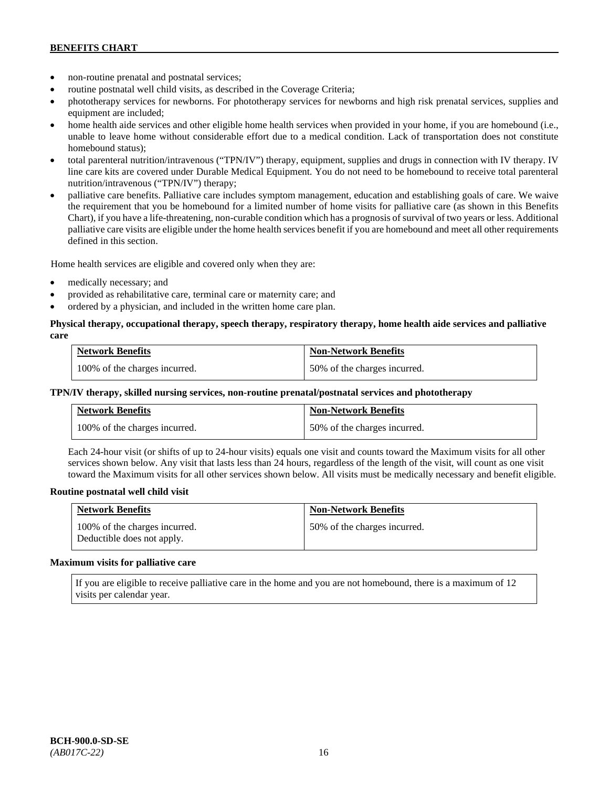- non-routine prenatal and postnatal services;
- routine postnatal well child visits, as described in the Coverage Criteria;
- phototherapy services for newborns. For phototherapy services for newborns and high risk prenatal services, supplies and equipment are included;
- home health aide services and other eligible home health services when provided in your home, if you are homebound (i.e., unable to leave home without considerable effort due to a medical condition. Lack of transportation does not constitute homebound status);
- total parenteral nutrition/intravenous ("TPN/IV") therapy, equipment, supplies and drugs in connection with IV therapy. IV line care kits are covered under Durable Medical Equipment. You do not need to be homebound to receive total parenteral nutrition/intravenous ("TPN/IV") therapy;
- palliative care benefits. Palliative care includes symptom management, education and establishing goals of care. We waive the requirement that you be homebound for a limited number of home visits for palliative care (as shown in this Benefits Chart), if you have a life-threatening, non-curable condition which has a prognosis of survival of two years or less. Additional palliative care visits are eligible under the home health services benefit if you are homebound and meet all other requirements defined in this section.

Home health services are eligible and covered only when they are:

- medically necessary; and
- provided as rehabilitative care, terminal care or maternity care; and
- ordered by a physician, and included in the written home care plan.

### **Physical therapy, occupational therapy, speech therapy, respiratory therapy, home health aide services and palliative care**

| <b>Network Benefits</b>       | <b>Non-Network Benefits</b>  |
|-------------------------------|------------------------------|
| 100% of the charges incurred. | 50% of the charges incurred. |

### **TPN/IV therapy, skilled nursing services, non-routine prenatal/postnatal services and phototherapy**

| <b>Network Benefits</b>       | <b>Non-Network Benefits</b>  |
|-------------------------------|------------------------------|
| 100% of the charges incurred. | 50% of the charges incurred. |

Each 24-hour visit (or shifts of up to 24-hour visits) equals one visit and counts toward the Maximum visits for all other services shown below. Any visit that lasts less than 24 hours, regardless of the length of the visit, will count as one visit toward the Maximum visits for all other services shown below. All visits must be medically necessary and benefit eligible.

#### **Routine postnatal well child visit**

| <b>Network Benefits</b>                                     | <b>Non-Network Benefits</b>  |
|-------------------------------------------------------------|------------------------------|
| 100% of the charges incurred.<br>Deductible does not apply. | 50% of the charges incurred. |

#### **Maximum visits for palliative care**

If you are eligible to receive palliative care in the home and you are not homebound, there is a maximum of 12 visits per calendar year.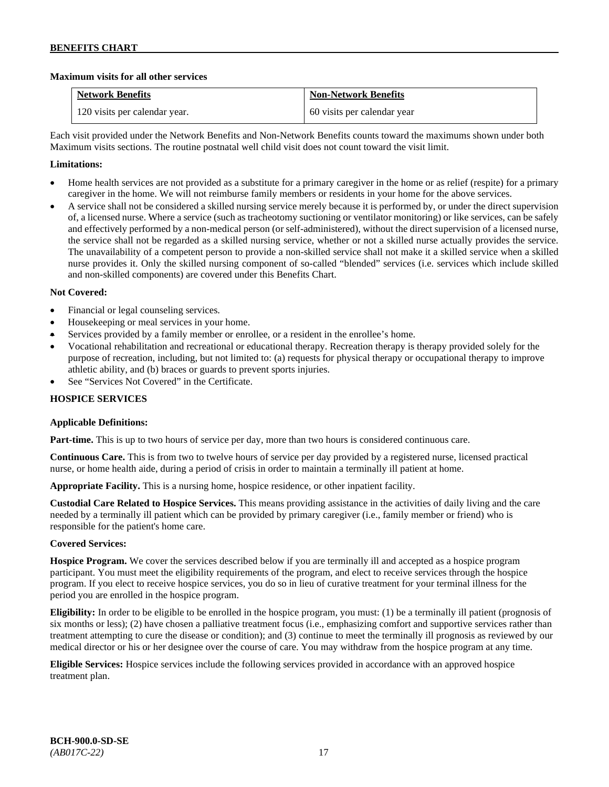### **Maximum visits for all other services**

| <b>Network Benefits</b>       | <b>Non-Network Benefits</b> |
|-------------------------------|-----------------------------|
| 120 visits per calendar year. | 60 visits per calendar year |

Each visit provided under the Network Benefits and Non-Network Benefits counts toward the maximums shown under both Maximum visits sections. The routine postnatal well child visit does not count toward the visit limit.

### **Limitations:**

- Home health services are not provided as a substitute for a primary caregiver in the home or as relief (respite) for a primary caregiver in the home. We will not reimburse family members or residents in your home for the above services.
- A service shall not be considered a skilled nursing service merely because it is performed by, or under the direct supervision of, a licensed nurse. Where a service (such as tracheotomy suctioning or ventilator monitoring) or like services, can be safely and effectively performed by a non-medical person (or self-administered), without the direct supervision of a licensed nurse, the service shall not be regarded as a skilled nursing service, whether or not a skilled nurse actually provides the service. The unavailability of a competent person to provide a non-skilled service shall not make it a skilled service when a skilled nurse provides it. Only the skilled nursing component of so-called "blended" services (i.e. services which include skilled and non-skilled components) are covered under this Benefits Chart.

### **Not Covered:**

- Financial or legal counseling services.
- Housekeeping or meal services in your home.
- Services provided by a family member or enrollee, or a resident in the enrollee's home.
- Vocational rehabilitation and recreational or educational therapy. Recreation therapy is therapy provided solely for the purpose of recreation, including, but not limited to: (a) requests for physical therapy or occupational therapy to improve athletic ability, and (b) braces or guards to prevent sports injuries.
- See "Services Not Covered" in the Certificate.

### **HOSPICE SERVICES**

### **Applicable Definitions:**

**Part-time.** This is up to two hours of service per day, more than two hours is considered continuous care.

**Continuous Care.** This is from two to twelve hours of service per day provided by a registered nurse, licensed practical nurse, or home health aide, during a period of crisis in order to maintain a terminally ill patient at home.

**Appropriate Facility.** This is a nursing home, hospice residence, or other inpatient facility.

**Custodial Care Related to Hospice Services.** This means providing assistance in the activities of daily living and the care needed by a terminally ill patient which can be provided by primary caregiver (i.e., family member or friend) who is responsible for the patient's home care.

### **Covered Services:**

**Hospice Program.** We cover the services described below if you are terminally ill and accepted as a hospice program participant. You must meet the eligibility requirements of the program, and elect to receive services through the hospice program. If you elect to receive hospice services, you do so in lieu of curative treatment for your terminal illness for the period you are enrolled in the hospice program.

**Eligibility:** In order to be eligible to be enrolled in the hospice program, you must: (1) be a terminally ill patient (prognosis of six months or less); (2) have chosen a palliative treatment focus (i.e., emphasizing comfort and supportive services rather than treatment attempting to cure the disease or condition); and (3) continue to meet the terminally ill prognosis as reviewed by our medical director or his or her designee over the course of care. You may withdraw from the hospice program at any time.

**Eligible Services:** Hospice services include the following services provided in accordance with an approved hospice treatment plan.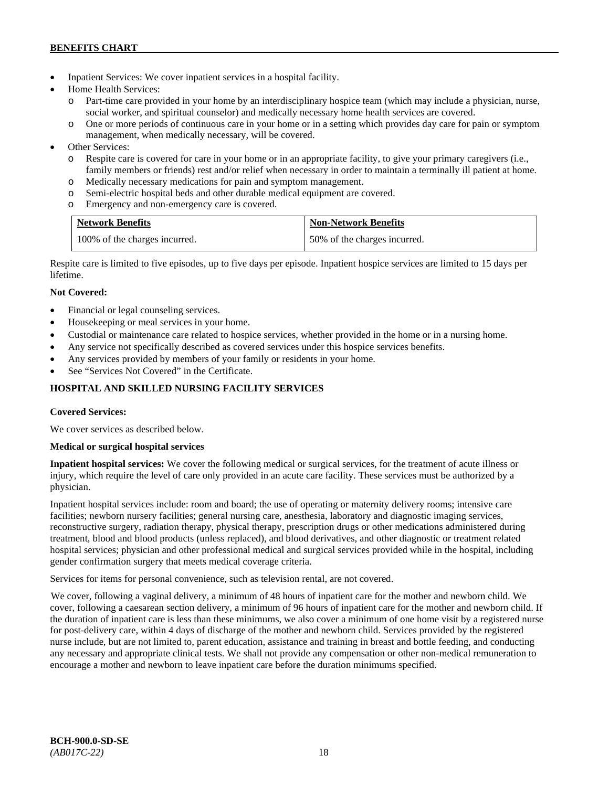- Inpatient Services: We cover inpatient services in a hospital facility.
- Home Health Services:
	- Part-time care provided in your home by an interdisciplinary hospice team (which may include a physician, nurse, social worker, and spiritual counselor) and medically necessary home health services are covered.
	- o One or more periods of continuous care in your home or in a setting which provides day care for pain or symptom management, when medically necessary, will be covered.
- Other Services:
	- o Respite care is covered for care in your home or in an appropriate facility, to give your primary caregivers (i.e., family members or friends) rest and/or relief when necessary in order to maintain a terminally ill patient at home*.*
	- o Medically necessary medications for pain and symptom management.
	- o Semi-electric hospital beds and other durable medical equipment are covered.
	- o Emergency and non-emergency care is covered.

| <b>Network Benefits</b>       | <b>Non-Network Benefits</b>  |
|-------------------------------|------------------------------|
| 100% of the charges incurred. | 50% of the charges incurred. |

Respite care is limited to five episodes, up to five days per episode. Inpatient hospice services are limited to 15 days per lifetime.

# **Not Covered:**

- Financial or legal counseling services.
- Housekeeping or meal services in your home.
- Custodial or maintenance care related to hospice services, whether provided in the home or in a nursing home.
- Any service not specifically described as covered services under this hospice services benefits.
- Any services provided by members of your family or residents in your home.
- See "Services Not Covered" in the Certificate.

# **HOSPITAL AND SKILLED NURSING FACILITY SERVICES**

### **Covered Services:**

We cover services as described below.

### **Medical or surgical hospital services**

**Inpatient hospital services:** We cover the following medical or surgical services, for the treatment of acute illness or injury, which require the level of care only provided in an acute care facility. These services must be authorized by a physician.

Inpatient hospital services include: room and board; the use of operating or maternity delivery rooms; intensive care facilities; newborn nursery facilities; general nursing care, anesthesia, laboratory and diagnostic imaging services, reconstructive surgery, radiation therapy, physical therapy, prescription drugs or other medications administered during treatment, blood and blood products (unless replaced), and blood derivatives, and other diagnostic or treatment related hospital services; physician and other professional medical and surgical services provided while in the hospital, including gender confirmation surgery that meets medical coverage criteria.

Services for items for personal convenience, such as television rental, are not covered.

We cover, following a vaginal delivery, a minimum of 48 hours of inpatient care for the mother and newborn child. We cover, following a caesarean section delivery, a minimum of 96 hours of inpatient care for the mother and newborn child. If the duration of inpatient care is less than these minimums, we also cover a minimum of one home visit by a registered nurse for post-delivery care, within 4 days of discharge of the mother and newborn child. Services provided by the registered nurse include, but are not limited to, parent education, assistance and training in breast and bottle feeding, and conducting any necessary and appropriate clinical tests. We shall not provide any compensation or other non-medical remuneration to encourage a mother and newborn to leave inpatient care before the duration minimums specified.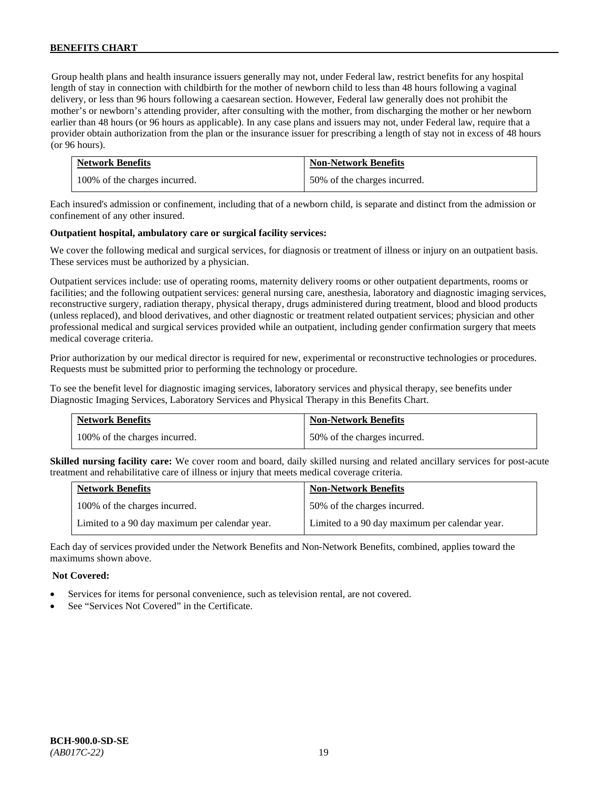Group health plans and health insurance issuers generally may not, under Federal law, restrict benefits for any hospital length of stay in connection with childbirth for the mother of newborn child to less than 48 hours following a vaginal delivery, or less than 96 hours following a caesarean section. However, Federal law generally does not prohibit the mother's or newborn's attending provider, after consulting with the mother, from discharging the mother or her newborn earlier than 48 hours (or 96 hours as applicable). In any case plans and issuers may not, under Federal law, require that a provider obtain authorization from the plan or the insurance issuer for prescribing a length of stay not in excess of 48 hours (or 96 hours).

| <b>Network Benefits</b>       | <b>Non-Network Benefits</b>  |
|-------------------------------|------------------------------|
| 100% of the charges incurred. | 50% of the charges incurred. |

Each insured's admission or confinement, including that of a newborn child, is separate and distinct from the admission or confinement of any other insured.

### **Outpatient hospital, ambulatory care or surgical facility services:**

We cover the following medical and surgical services, for diagnosis or treatment of illness or injury on an outpatient basis. These services must be authorized by a physician.

Outpatient services include: use of operating rooms, maternity delivery rooms or other outpatient departments, rooms or facilities; and the following outpatient services: general nursing care, anesthesia, laboratory and diagnostic imaging services, reconstructive surgery, radiation therapy, physical therapy, drugs administered during treatment, blood and blood products (unless replaced), and blood derivatives, and other diagnostic or treatment related outpatient services; physician and other professional medical and surgical services provided while an outpatient, including gender confirmation surgery that meets medical coverage criteria.

Prior authorization by our medical director is required for new, experimental or reconstructive technologies or procedures. Requests must be submitted prior to performing the technology or procedure.

To see the benefit level for diagnostic imaging services, laboratory services and physical therapy, see benefits under Diagnostic Imaging Services, Laboratory Services and Physical Therapy in this Benefits Chart.

| <b>Network Benefits</b>       | <b>Non-Network Benefits</b>  |
|-------------------------------|------------------------------|
| 100% of the charges incurred. | 50% of the charges incurred. |

**Skilled nursing facility care:** We cover room and board, daily skilled nursing and related ancillary services for post-acute treatment and rehabilitative care of illness or injury that meets medical coverage criteria.

| <b>Network Benefits</b>                        | <b>Non-Network Benefits</b>                    |
|------------------------------------------------|------------------------------------------------|
| 100% of the charges incurred.                  | 50% of the charges incurred.                   |
| Limited to a 90 day maximum per calendar year. | Limited to a 90 day maximum per calendar year. |

Each day of services provided under the Network Benefits and Non-Network Benefits, combined, applies toward the maximums shown above.

### **Not Covered:**

- Services for items for personal convenience, such as television rental, are not covered.
- See "Services Not Covered" in the Certificate.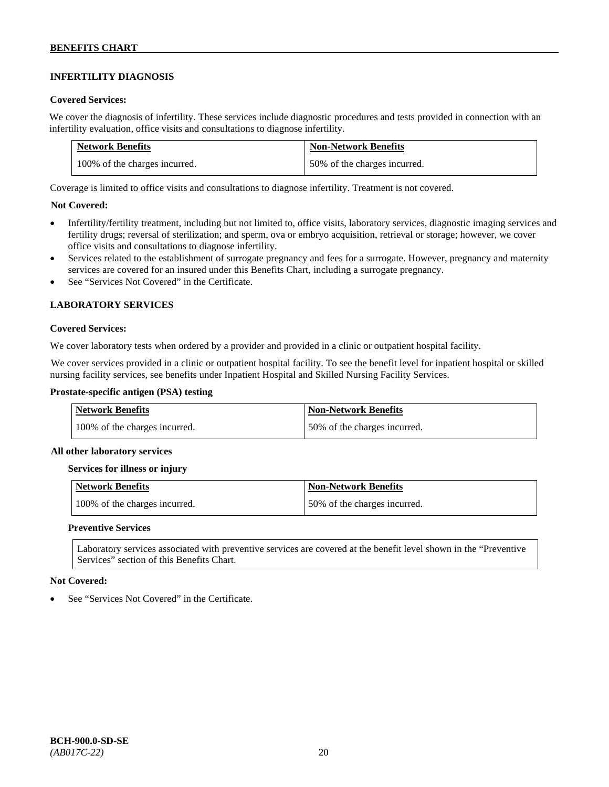# **INFERTILITY DIAGNOSIS**

### **Covered Services:**

We cover the diagnosis of infertility. These services include diagnostic procedures and tests provided in connection with an infertility evaluation, office visits and consultations to diagnose infertility.

| <b>Network Benefits</b>       | <b>Non-Network Benefits</b>  |
|-------------------------------|------------------------------|
| 100% of the charges incurred. | 50% of the charges incurred. |

Coverage is limited to office visits and consultations to diagnose infertility. Treatment is not covered.

### **Not Covered:**

- Infertility/fertility treatment, including but not limited to, office visits, laboratory services, diagnostic imaging services and fertility drugs; reversal of sterilization; and sperm, ova or embryo acquisition, retrieval or storage; however, we cover office visits and consultations to diagnose infertility.
- Services related to the establishment of surrogate pregnancy and fees for a surrogate. However, pregnancy and maternity services are covered for an insured under this Benefits Chart, including a surrogate pregnancy.
- See "Services Not Covered" in the Certificate.

### **LABORATORY SERVICES**

#### **Covered Services:**

We cover laboratory tests when ordered by a provider and provided in a clinic or outpatient hospital facility.

We cover services provided in a clinic or outpatient hospital facility. To see the benefit level for inpatient hospital or skilled nursing facility services, see benefits under Inpatient Hospital and Skilled Nursing Facility Services.

### **Prostate-specific antigen (PSA) testing**

| <b>Network Benefits</b>       | <b>Non-Network Benefits</b>  |
|-------------------------------|------------------------------|
| 100% of the charges incurred. | 50% of the charges incurred. |

#### **All other laboratory services**

#### **Services for illness or injury**

| Network Benefits              | <b>Non-Network Benefits</b>  |
|-------------------------------|------------------------------|
| 100% of the charges incurred. | 50% of the charges incurred. |

#### **Preventive Services**

Laboratory services associated with preventive services are covered at the benefit level shown in the "Preventive Services" section of this Benefits Chart.

#### **Not Covered:**

See "Services Not Covered" in the Certificate.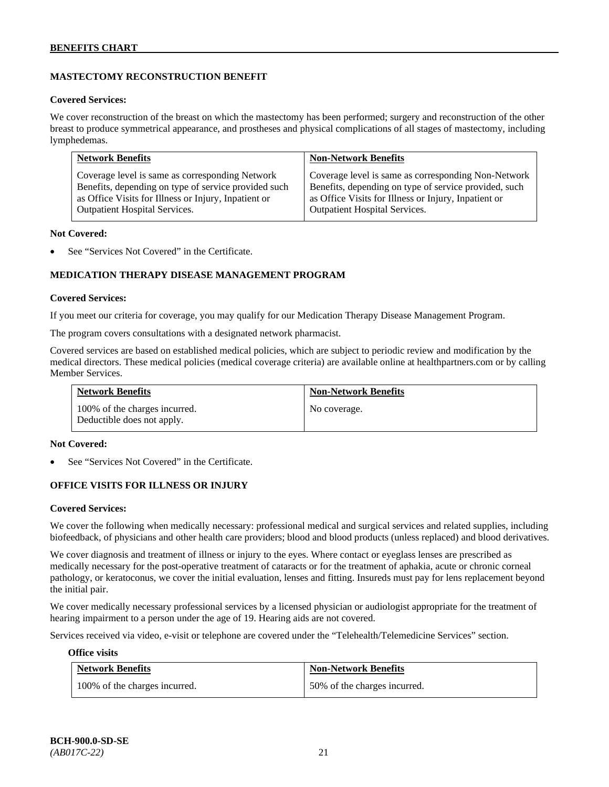# **MASTECTOMY RECONSTRUCTION BENEFIT**

### **Covered Services:**

We cover reconstruction of the breast on which the mastectomy has been performed; surgery and reconstruction of the other breast to produce symmetrical appearance, and prostheses and physical complications of all stages of mastectomy, including lymphedemas.

| <b>Network Benefits</b>                              | <b>Non-Network Benefits</b>                           |
|------------------------------------------------------|-------------------------------------------------------|
| Coverage level is same as corresponding Network      | Coverage level is same as corresponding Non-Network   |
| Benefits, depending on type of service provided such | Benefits, depending on type of service provided, such |
| as Office Visits for Illness or Injury, Inpatient or | as Office Visits for Illness or Injury, Inpatient or  |
| Outpatient Hospital Services.                        | Outpatient Hospital Services.                         |

#### **Not Covered:**

See "Services Not Covered" in the Certificate.

# **MEDICATION THERAPY DISEASE MANAGEMENT PROGRAM**

### **Covered Services:**

If you meet our criteria for coverage, you may qualify for our Medication Therapy Disease Management Program.

The program covers consultations with a designated network pharmacist.

Covered services are based on established medical policies, which are subject to periodic review and modification by the medical directors. These medical policies (medical coverage criteria) are available online at [healthpartners.com](http://www.healthpartners.com/) or by calling Member Services.

| <b>Network Benefits</b>                                     | <b>Non-Network Benefits</b> |
|-------------------------------------------------------------|-----------------------------|
| 100% of the charges incurred.<br>Deductible does not apply. | No coverage.                |

#### **Not Covered:**

See "Services Not Covered" in the Certificate.

### **OFFICE VISITS FOR ILLNESS OR INJURY**

#### **Covered Services:**

We cover the following when medically necessary: professional medical and surgical services and related supplies, including biofeedback, of physicians and other health care providers; blood and blood products (unless replaced) and blood derivatives.

We cover diagnosis and treatment of illness or injury to the eyes. Where contact or eyeglass lenses are prescribed as medically necessary for the post-operative treatment of cataracts or for the treatment of aphakia, acute or chronic corneal pathology, or keratoconus, we cover the initial evaluation, lenses and fitting. Insureds must pay for lens replacement beyond the initial pair.

We cover medically necessary professional services by a licensed physician or audiologist appropriate for the treatment of hearing impairment to a person under the age of 19. Hearing aids are not covered.

Services received via video, e-visit or telephone are covered under the "Telehealth/Telemedicine Services" section.

#### **Office visits**

| <b>Network Benefits</b>       | <b>Non-Network Benefits</b>  |
|-------------------------------|------------------------------|
| 100% of the charges incurred. | 50% of the charges incurred. |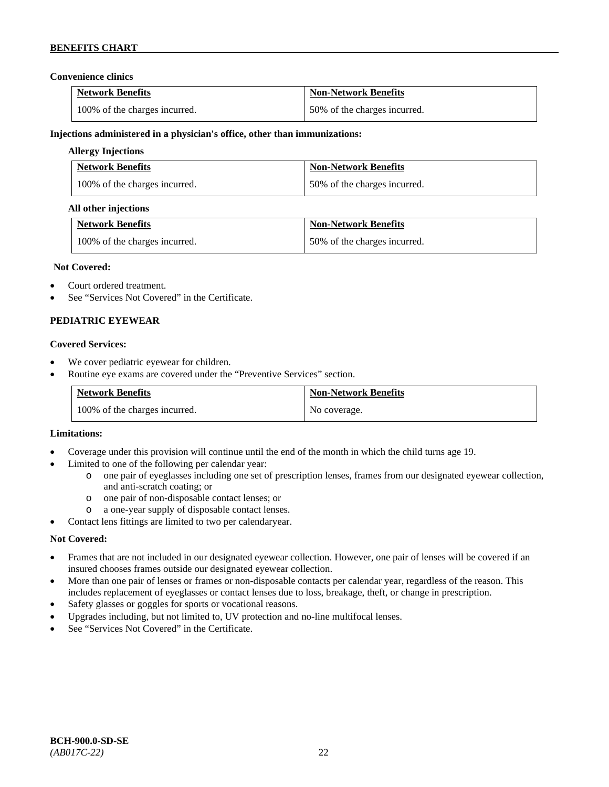### **Convenience clinics**

| <b>Network Benefits</b>       | <b>Non-Network Benefits</b>  |
|-------------------------------|------------------------------|
| 100% of the charges incurred. | 50% of the charges incurred. |

### **Injections administered in a physician's office, other than immunizations:**

### **Allergy Injections**

| <b>Network Benefits</b>       | <b>Non-Network Benefits</b>  |
|-------------------------------|------------------------------|
| 100% of the charges incurred. | 50% of the charges incurred. |

### **All other injections**

| <b>Network Benefits</b>       | <b>Non-Network Benefits</b>  |
|-------------------------------|------------------------------|
| 100% of the charges incurred. | 50% of the charges incurred. |

### **Not Covered:**

- Court ordered treatment.
- See "Services Not Covered" in the Certificate.

### **PEDIATRIC EYEWEAR**

### **Covered Services:**

- We cover pediatric eyewear for children.
- Routine eye exams are covered under the "Preventive Services" section.

| <b>Network Benefits</b>       | <b>Non-Network Benefits</b> |
|-------------------------------|-----------------------------|
| 100% of the charges incurred. | No coverage.                |

#### **Limitations:**

- Coverage under this provision will continue until the end of the month in which the child turns age 19.
- Limited to one of the following per calendar year:
	- o one pair of eyeglasses including one set of prescription lenses, frames from our designated eyewear collection, and anti-scratch coating; or
	- o one pair of non-disposable contact lenses; or
	- a one-year supply of disposable contact lenses.
- Contact lens fittings are limited to two per calendaryear.

#### **Not Covered:**

- Frames that are not included in our designated eyewear collection. However, one pair of lenses will be covered if an insured chooses frames outside our designated eyewear collection.
- More than one pair of lenses or frames or non-disposable contacts per calendar year, regardless of the reason. This includes replacement of eyeglasses or contact lenses due to loss, breakage, theft, or change in prescription.
- Safety glasses or goggles for sports or vocational reasons.
- Upgrades including, but not limited to, UV protection and no-line multifocal lenses.
- See "Services Not Covered" in the Certificate.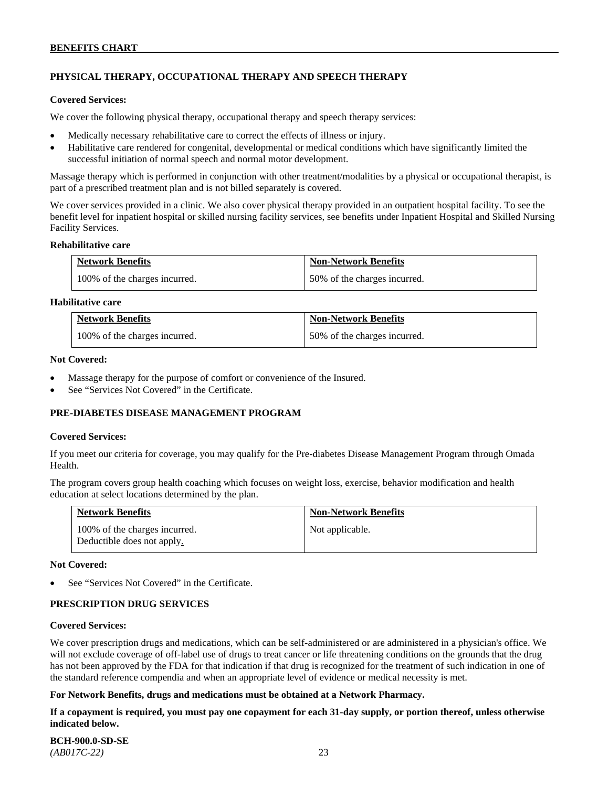# **PHYSICAL THERAPY, OCCUPATIONAL THERAPY AND SPEECH THERAPY**

#### **Covered Services:**

We cover the following physical therapy, occupational therapy and speech therapy services:

- Medically necessary rehabilitative care to correct the effects of illness or injury.
- Habilitative care rendered for congenital, developmental or medical conditions which have significantly limited the successful initiation of normal speech and normal motor development.

Massage therapy which is performed in conjunction with other treatment/modalities by a physical or occupational therapist, is part of a prescribed treatment plan and is not billed separately is covered.

We cover services provided in a clinic. We also cover physical therapy provided in an outpatient hospital facility. To see the benefit level for inpatient hospital or skilled nursing facility services, see benefits under Inpatient Hospital and Skilled Nursing Facility Services.

#### **Rehabilitative care**

| <b>Network Benefits</b>       | <b>Non-Network Benefits</b>  |
|-------------------------------|------------------------------|
| 100% of the charges incurred. | 50% of the charges incurred. |

### **Habilitative care**

| <b>Network Benefits</b>       | <b>Non-Network Benefits</b>  |
|-------------------------------|------------------------------|
| 100% of the charges incurred. | 50% of the charges incurred. |

#### **Not Covered:**

- Massage therapy for the purpose of comfort or convenience of the Insured.
- See "Services Not Covered" in the Certificate.

### **PRE-DIABETES DISEASE MANAGEMENT PROGRAM**

#### **Covered Services:**

If you meet our criteria for coverage, you may qualify for the Pre-diabetes Disease Management Program through Omada Health.

The program covers group health coaching which focuses on weight loss, exercise, behavior modification and health education at select locations determined by the plan.

| <b>Network Benefits</b>                                     | <b>Non-Network Benefits</b> |
|-------------------------------------------------------------|-----------------------------|
| 100% of the charges incurred.<br>Deductible does not apply. | Not applicable.             |

#### **Not Covered:**

See "Services Not Covered" in the Certificate.

### **PRESCRIPTION DRUG SERVICES**

#### **Covered Services:**

We cover prescription drugs and medications, which can be self-administered or are administered in a physician's office. We will not exclude coverage of off-label use of drugs to treat cancer or life threatening conditions on the grounds that the drug has not been approved by the FDA for that indication if that drug is recognized for the treatment of such indication in one of the standard reference compendia and when an appropriate level of evidence or medical necessity is met.

#### **For Network Benefits, drugs and medications must be obtained at a Network Pharmacy.**

**If a copayment is required, you must pay one copayment for each 31-day supply, or portion thereof, unless otherwise indicated below.**

| <b>BCH-900.0-SD-SE</b> |  |
|------------------------|--|
| $(AB017C-22)$          |  |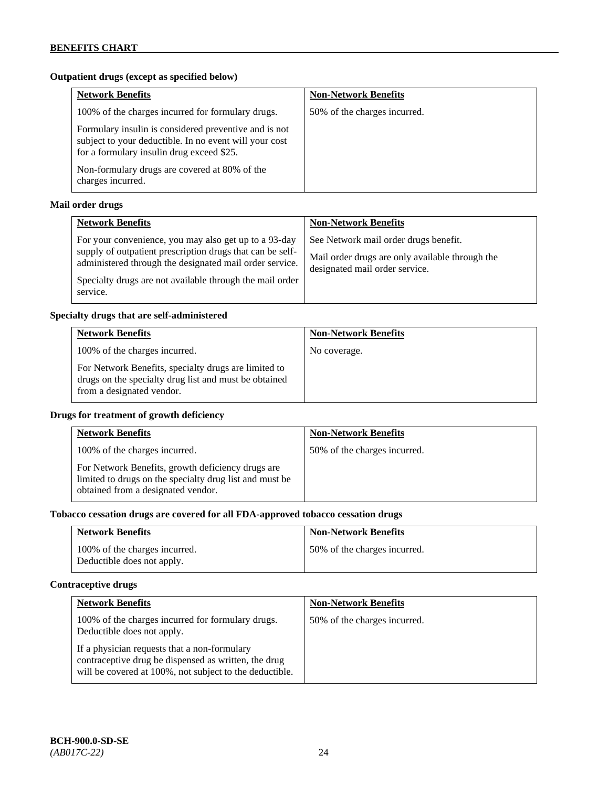# **Outpatient drugs (except as specified below)**

| <b>Network Benefits</b>                                                                                                                                      | <b>Non-Network Benefits</b>  |
|--------------------------------------------------------------------------------------------------------------------------------------------------------------|------------------------------|
| 100% of the charges incurred for formulary drugs.                                                                                                            | 50% of the charges incurred. |
| Formulary insulin is considered preventive and is not<br>subject to your deductible. In no event will your cost<br>for a formulary insulin drug exceed \$25. |                              |
| Non-formulary drugs are covered at 80% of the<br>charges incurred.                                                                                           |                              |

# **Mail order drugs**

| <b>Network Benefits</b>                                                                                                                                                                                                                               | <b>Non-Network Benefits</b>                                                                                                |
|-------------------------------------------------------------------------------------------------------------------------------------------------------------------------------------------------------------------------------------------------------|----------------------------------------------------------------------------------------------------------------------------|
| For your convenience, you may also get up to a 93-day<br>supply of outpatient prescription drugs that can be self-<br>administered through the designated mail order service.<br>Specialty drugs are not available through the mail order<br>service. | See Network mail order drugs benefit.<br>Mail order drugs are only available through the<br>designated mail order service. |

### **Specialty drugs that are self-administered**

| <b>Network Benefits</b>                                                                                                                    | <b>Non-Network Benefits</b> |
|--------------------------------------------------------------------------------------------------------------------------------------------|-----------------------------|
| 100% of the charges incurred.                                                                                                              | No coverage.                |
| For Network Benefits, specialty drugs are limited to<br>drugs on the specialty drug list and must be obtained<br>from a designated vendor. |                             |

# **Drugs for treatment of growth deficiency**

| <b>Network Benefits</b>                                                                                                                            | <b>Non-Network Benefits</b>  |
|----------------------------------------------------------------------------------------------------------------------------------------------------|------------------------------|
| 100% of the charges incurred.                                                                                                                      | 50% of the charges incurred. |
| For Network Benefits, growth deficiency drugs are<br>limited to drugs on the specialty drug list and must be<br>obtained from a designated vendor. |                              |

# **Tobacco cessation drugs are covered for all FDA-approved tobacco cessation drugs**

| <b>Network Benefits</b>                                     | <b>Non-Network Benefits</b>  |
|-------------------------------------------------------------|------------------------------|
| 100% of the charges incurred.<br>Deductible does not apply. | 50% of the charges incurred. |

# **Contraceptive drugs**

| <b>Network Benefits</b>                                                                                                                                         | <b>Non-Network Benefits</b>  |
|-----------------------------------------------------------------------------------------------------------------------------------------------------------------|------------------------------|
| 100% of the charges incurred for formulary drugs.<br>Deductible does not apply.                                                                                 | 50% of the charges incurred. |
| If a physician requests that a non-formulary<br>contraceptive drug be dispensed as written, the drug<br>will be covered at 100%, not subject to the deductible. |                              |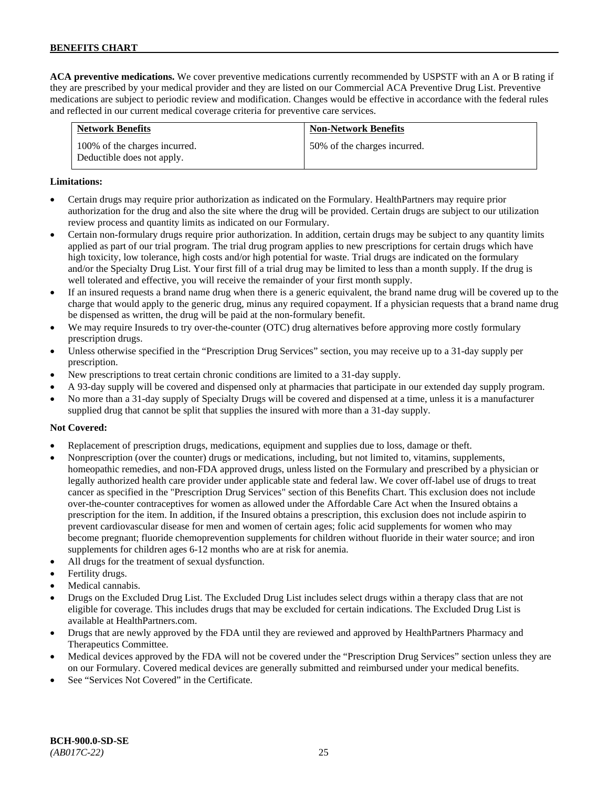**ACA preventive medications.** We cover preventive medications currently recommended by USPSTF with an A or B rating if they are prescribed by your medical provider and they are listed on our Commercial ACA Preventive Drug List. Preventive medications are subject to periodic review and modification. Changes would be effective in accordance with the federal rules and reflected in our current medical coverage criteria for preventive care services.

| <b>Network Benefits</b>                                     | <b>Non-Network Benefits</b>  |
|-------------------------------------------------------------|------------------------------|
| 100% of the charges incurred.<br>Deductible does not apply. | 50% of the charges incurred. |

### **Limitations:**

- Certain drugs may require prior authorization as indicated on the Formulary. HealthPartners may require prior authorization for the drug and also the site where the drug will be provided. Certain drugs are subject to our utilization review process and quantity limits as indicated on our Formulary.
- Certain non-formulary drugs require prior authorization. In addition, certain drugs may be subject to any quantity limits applied as part of our trial program. The trial drug program applies to new prescriptions for certain drugs which have high toxicity, low tolerance, high costs and/or high potential for waste. Trial drugs are indicated on the formulary and/or the Specialty Drug List. Your first fill of a trial drug may be limited to less than a month supply. If the drug is well tolerated and effective, you will receive the remainder of your first month supply.
- If an insured requests a brand name drug when there is a generic equivalent, the brand name drug will be covered up to the charge that would apply to the generic drug, minus any required copayment. If a physician requests that a brand name drug be dispensed as written, the drug will be paid at the non-formulary benefit.
- We may require Insureds to try over-the-counter (OTC) drug alternatives before approving more costly formulary prescription drugs.
- Unless otherwise specified in the "Prescription Drug Services" section, you may receive up to a 31-day supply per prescription.
- New prescriptions to treat certain chronic conditions are limited to a 31-day supply.
- A 93-day supply will be covered and dispensed only at pharmacies that participate in our extended day supply program.
- No more than a 31-day supply of Specialty Drugs will be covered and dispensed at a time, unless it is a manufacturer supplied drug that cannot be split that supplies the insured with more than a 31-day supply.

### **Not Covered:**

- Replacement of prescription drugs, medications, equipment and supplies due to loss, damage or theft.
- Nonprescription (over the counter) drugs or medications, including, but not limited to, vitamins, supplements, homeopathic remedies, and non-FDA approved drugs, unless listed on the Formulary and prescribed by a physician or legally authorized health care provider under applicable state and federal law. We cover off-label use of drugs to treat cancer as specified in the "Prescription Drug Services" section of this Benefits Chart. This exclusion does not include over-the-counter contraceptives for women as allowed under the Affordable Care Act when the Insured obtains a prescription for the item. In addition, if the Insured obtains a prescription, this exclusion does not include aspirin to prevent cardiovascular disease for men and women of certain ages; folic acid supplements for women who may become pregnant; fluoride chemoprevention supplements for children without fluoride in their water source; and iron supplements for children ages 6-12 months who are at risk for anemia.
- All drugs for the treatment of sexual dysfunction.
- Fertility drugs.
- Medical cannabis.
- Drugs on the Excluded Drug List. The Excluded Drug List includes select drugs within a therapy class that are not eligible for coverage. This includes drugs that may be excluded for certain indications. The Excluded Drug List is available a[t HealthPartners.com.](http://www.healthpartners.com/)
- Drugs that are newly approved by the FDA until they are reviewed and approved by HealthPartners Pharmacy and Therapeutics Committee.
- Medical devices approved by the FDA will not be covered under the "Prescription Drug Services" section unless they are on our Formulary. Covered medical devices are generally submitted and reimbursed under your medical benefits.
- See "Services Not Covered" in the Certificate.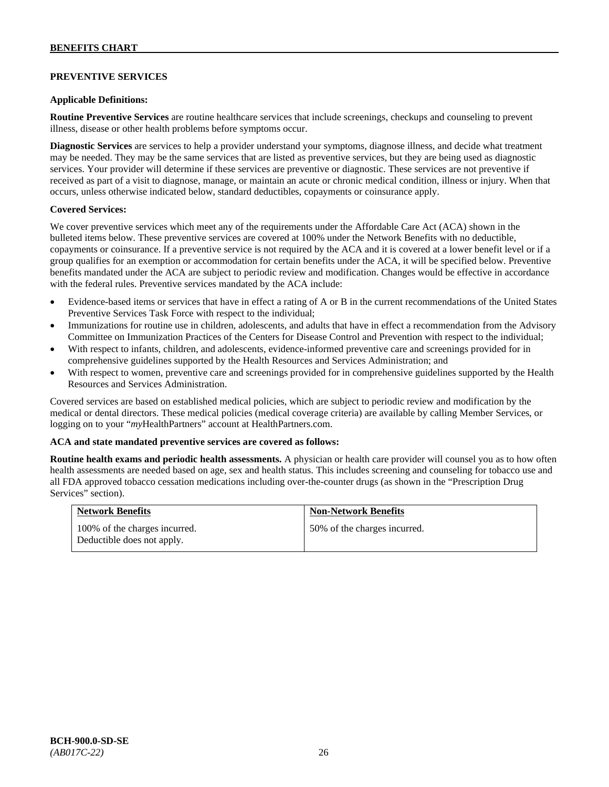### **PREVENTIVE SERVICES**

### **Applicable Definitions:**

**Routine Preventive Services** are routine healthcare services that include screenings, checkups and counseling to prevent illness, disease or other health problems before symptoms occur.

**Diagnostic Services** are services to help a provider understand your symptoms, diagnose illness, and decide what treatment may be needed. They may be the same services that are listed as preventive services, but they are being used as diagnostic services. Your provider will determine if these services are preventive or diagnostic. These services are not preventive if received as part of a visit to diagnose, manage, or maintain an acute or chronic medical condition, illness or injury. When that occurs, unless otherwise indicated below, standard deductibles, copayments or coinsurance apply.

### **Covered Services:**

We cover preventive services which meet any of the requirements under the Affordable Care Act (ACA) shown in the bulleted items below. These preventive services are covered at 100% under the Network Benefits with no deductible, copayments or coinsurance. If a preventive service is not required by the ACA and it is covered at a lower benefit level or if a group qualifies for an exemption or accommodation for certain benefits under the ACA, it will be specified below. Preventive benefits mandated under the ACA are subject to periodic review and modification. Changes would be effective in accordance with the federal rules. Preventive services mandated by the ACA include:

- Evidence-based items or services that have in effect a rating of A or B in the current recommendations of the United States Preventive Services Task Force with respect to the individual;
- Immunizations for routine use in children, adolescents, and adults that have in effect a recommendation from the Advisory Committee on Immunization Practices of the Centers for Disease Control and Prevention with respect to the individual;
- With respect to infants, children, and adolescents, evidence-informed preventive care and screenings provided for in comprehensive guidelines supported by the Health Resources and Services Administration; and
- With respect to women, preventive care and screenings provided for in comprehensive guidelines supported by the Health Resources and Services Administration.

Covered services are based on established medical policies, which are subject to periodic review and modification by the medical or dental directors. These medical policies (medical coverage criteria) are available by calling Member Services, or logging on to your "*my*HealthPartners" account at [HealthPartners.com.](http://www.healthpartners.com/)

#### **ACA and state mandated preventive services are covered as follows:**

**Routine health exams and periodic health assessments.** A physician or health care provider will counsel you as to how often health assessments are needed based on age, sex and health status. This includes screening and counseling for tobacco use and all FDA approved tobacco cessation medications including over-the-counter drugs (as shown in the "Prescription Drug Services" section).

| <b>Network Benefits</b>                                     | <b>Non-Network Benefits</b>  |
|-------------------------------------------------------------|------------------------------|
| 100% of the charges incurred.<br>Deductible does not apply. | 50% of the charges incurred. |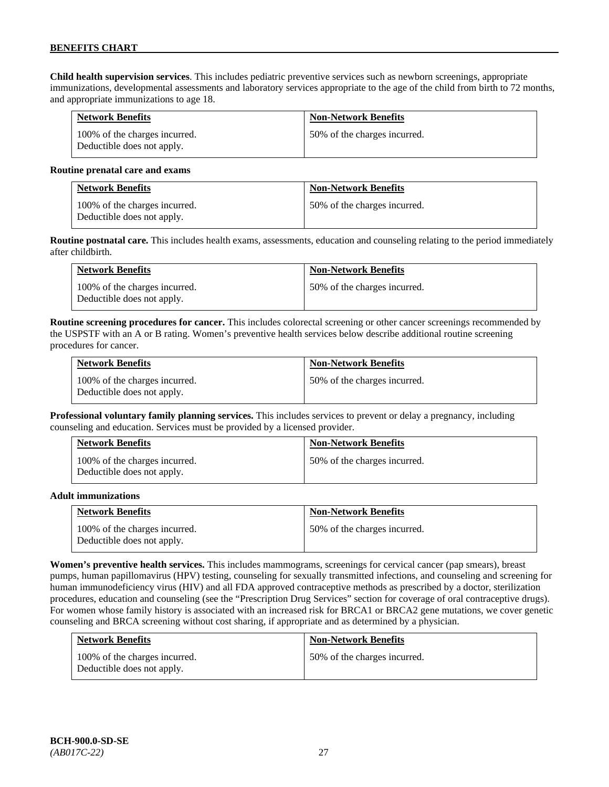**Child health supervision services**. This includes pediatric preventive services such as newborn screenings, appropriate immunizations, developmental assessments and laboratory services appropriate to the age of the child from birth to 72 months, and appropriate immunizations to age 18.

| <b>Network Benefits</b>                                     | <b>Non-Network Benefits</b>  |
|-------------------------------------------------------------|------------------------------|
| 100% of the charges incurred.<br>Deductible does not apply. | 50% of the charges incurred. |

#### **Routine prenatal care and exams**

| <b>Network Benefits</b>                                     | <b>Non-Network Benefits</b>  |
|-------------------------------------------------------------|------------------------------|
| 100% of the charges incurred.<br>Deductible does not apply. | 50% of the charges incurred. |

**Routine postnatal care.** This includes health exams, assessments, education and counseling relating to the period immediately after childbirth.

| <b>Network Benefits</b>                                     | <b>Non-Network Benefits</b>  |
|-------------------------------------------------------------|------------------------------|
| 100% of the charges incurred.<br>Deductible does not apply. | 50% of the charges incurred. |

**Routine screening procedures for cancer.** This includes colorectal screening or other cancer screenings recommended by the USPSTF with an A or B rating. Women's preventive health services below describe additional routine screening procedures for cancer.

| <b>Network Benefits</b>                                     | <b>Non-Network Benefits</b>  |
|-------------------------------------------------------------|------------------------------|
| 100% of the charges incurred.<br>Deductible does not apply. | 50% of the charges incurred. |

**Professional voluntary family planning services.** This includes services to prevent or delay a pregnancy, including counseling and education. Services must be provided by a licensed provider.

| <b>Network Benefits</b>                                     | <b>Non-Network Benefits</b>  |
|-------------------------------------------------------------|------------------------------|
| 100% of the charges incurred.<br>Deductible does not apply. | 50% of the charges incurred. |

#### **Adult immunizations**

| <b>Network Benefits</b>                                     | <b>Non-Network Benefits</b>  |
|-------------------------------------------------------------|------------------------------|
| 100% of the charges incurred.<br>Deductible does not apply. | 50% of the charges incurred. |

**Women's preventive health services.** This includes mammograms, screenings for cervical cancer (pap smears), breast pumps, human papillomavirus (HPV) testing, counseling for sexually transmitted infections, and counseling and screening for human immunodeficiency virus (HIV) and all FDA approved contraceptive methods as prescribed by a doctor, sterilization procedures, education and counseling (see the "Prescription Drug Services" section for coverage of oral contraceptive drugs). For women whose family history is associated with an increased risk for BRCA1 or BRCA2 gene mutations, we cover genetic counseling and BRCA screening without cost sharing, if appropriate and as determined by a physician.

| <b>Network Benefits</b>                                     | <b>Non-Network Benefits</b>  |
|-------------------------------------------------------------|------------------------------|
| 100% of the charges incurred.<br>Deductible does not apply. | 50% of the charges incurred. |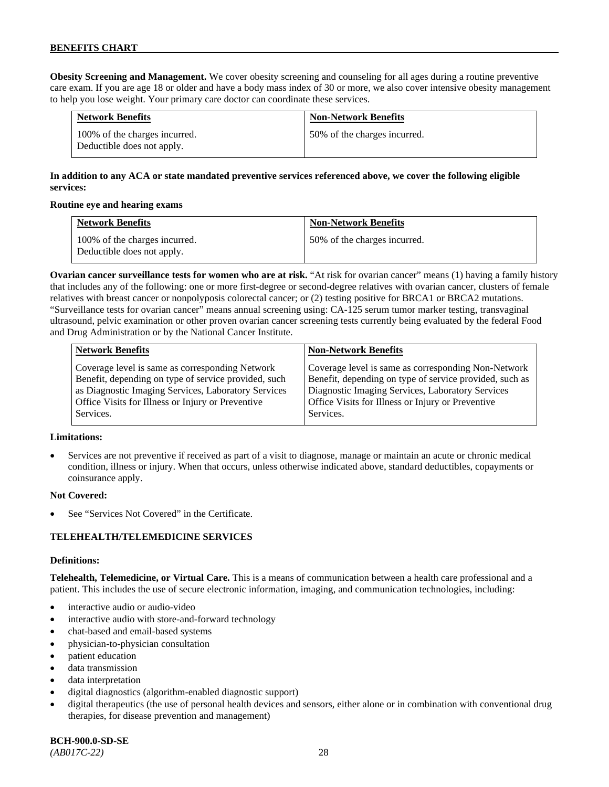**Obesity Screening and Management.** We cover obesity screening and counseling for all ages during a routine preventive care exam. If you are age 18 or older and have a body mass index of 30 or more, we also cover intensive obesity management to help you lose weight. Your primary care doctor can coordinate these services.

| <b>Network Benefits</b>                                     | <b>Non-Network Benefits</b>  |
|-------------------------------------------------------------|------------------------------|
| 100% of the charges incurred.<br>Deductible does not apply. | 50% of the charges incurred. |

# **In addition to any ACA or state mandated preventive services referenced above, we cover the following eligible services:**

### **Routine eye and hearing exams**

| <b>Network Benefits</b>                                     | <b>Non-Network Benefits</b>  |
|-------------------------------------------------------------|------------------------------|
| 100% of the charges incurred.<br>Deductible does not apply. | 50% of the charges incurred. |

**Ovarian cancer surveillance tests for women who are at risk.** "At risk for ovarian cancer" means (1) having a family history that includes any of the following: one or more first-degree or second-degree relatives with ovarian cancer, clusters of female relatives with breast cancer or nonpolyposis colorectal cancer; or (2) testing positive for BRCA1 or BRCA2 mutations. "Surveillance tests for ovarian cancer" means annual screening using: CA-125 serum tumor marker testing, transvaginal ultrasound, pelvic examination or other proven ovarian cancer screening tests currently being evaluated by the federal Food and Drug Administration or by the National Cancer Institute.

| <b>Network Benefits</b>                              | <b>Non-Network Benefits</b>                             |
|------------------------------------------------------|---------------------------------------------------------|
| Coverage level is same as corresponding Network      | Coverage level is same as corresponding Non-Network     |
| Benefit, depending on type of service provided, such | Benefit, depending on type of service provided, such as |
| as Diagnostic Imaging Services, Laboratory Services  | Diagnostic Imaging Services, Laboratory Services        |
| Office Visits for Illness or Injury or Preventive    | Office Visits for Illness or Injury or Preventive       |
| Services.                                            | Services.                                               |

### **Limitations:**

• Services are not preventive if received as part of a visit to diagnose, manage or maintain an acute or chronic medical condition, illness or injury. When that occurs, unless otherwise indicated above, standard deductibles, copayments or coinsurance apply.

### **Not Covered:**

See "Services Not Covered" in the Certificate.

### **TELEHEALTH/TELEMEDICINE SERVICES**

#### **Definitions:**

**Telehealth, Telemedicine, or Virtual Care.** This is a means of communication between a health care professional and a patient. This includes the use of secure electronic information, imaging, and communication technologies, including:

- interactive audio or audio-video
- interactive audio with store-and-forward technology
- chat-based and email-based systems
- physician-to-physician consultation
- patient education
- data transmission
- data interpretation
- digital diagnostics (algorithm-enabled diagnostic support)
- digital therapeutics (the use of personal health devices and sensors, either alone or in combination with conventional drug therapies, for disease prevention and management)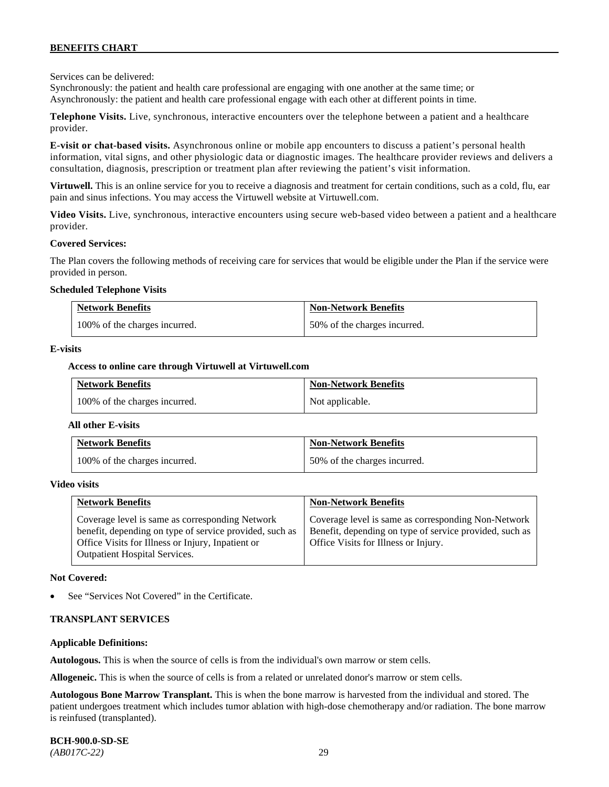Services can be delivered:

Synchronously: the patient and health care professional are engaging with one another at the same time; or Asynchronously: the patient and health care professional engage with each other at different points in time.

**Telephone Visits.** Live, synchronous, interactive encounters over the telephone between a patient and a healthcare provider.

**E-visit or chat-based visits.** Asynchronous online or mobile app encounters to discuss a patient's personal health information, vital signs, and other physiologic data or diagnostic images. The healthcare provider reviews and delivers a consultation, diagnosis, prescription or treatment plan after reviewing the patient's visit information.

**Virtuwell.** This is an online service for you to receive a diagnosis and treatment for certain conditions, such as a cold, flu, ear pain and sinus infections. You may access the Virtuwell website at [Virtuwell.com.](https://www.virtuwell.com/)

**Video Visits.** Live, synchronous, interactive encounters using secure web-based video between a patient and a healthcare provider.

#### **Covered Services:**

The Plan covers the following methods of receiving care for services that would be eligible under the Plan if the service were provided in person.

#### **Scheduled Telephone Visits**

| <b>Network Benefits</b>       | <b>Non-Network Benefits</b>  |
|-------------------------------|------------------------------|
| 100% of the charges incurred. | 50% of the charges incurred. |

#### **E-visits**

#### **Access to online care through Virtuwell at [Virtuwell.com](http://www.virtuwell.com/)**

| <b>Network Benefits</b>       | <b>Non-Network Benefits</b> |
|-------------------------------|-----------------------------|
| 100% of the charges incurred. | Not applicable.             |

#### **All other E-visits**

| <b>Network Benefits</b>       | <b>Non-Network Benefits</b>  |
|-------------------------------|------------------------------|
| 100% of the charges incurred. | 50% of the charges incurred. |

#### **Video visits**

| <b>Network Benefits</b>                                                                                                                                                                          | <b>Non-Network Benefits</b>                                                                                                                            |
|--------------------------------------------------------------------------------------------------------------------------------------------------------------------------------------------------|--------------------------------------------------------------------------------------------------------------------------------------------------------|
| Coverage level is same as corresponding Network<br>benefit, depending on type of service provided, such as<br>Office Visits for Illness or Injury, Inpatient or<br>Outpatient Hospital Services. | Coverage level is same as corresponding Non-Network<br>Benefit, depending on type of service provided, such as<br>Office Visits for Illness or Injury. |

#### **Not Covered:**

See "Services Not Covered" in the Certificate.

#### **TRANSPLANT SERVICES**

#### **Applicable Definitions:**

**Autologous.** This is when the source of cells is from the individual's own marrow or stem cells.

**Allogeneic.** This is when the source of cells is from a related or unrelated donor's marrow or stem cells.

**Autologous Bone Marrow Transplant.** This is when the bone marrow is harvested from the individual and stored. The patient undergoes treatment which includes tumor ablation with high-dose chemotherapy and/or radiation. The bone marrow is reinfused (transplanted).

**BCH-900.0-SD-SE**  *(AB017C-22)* 29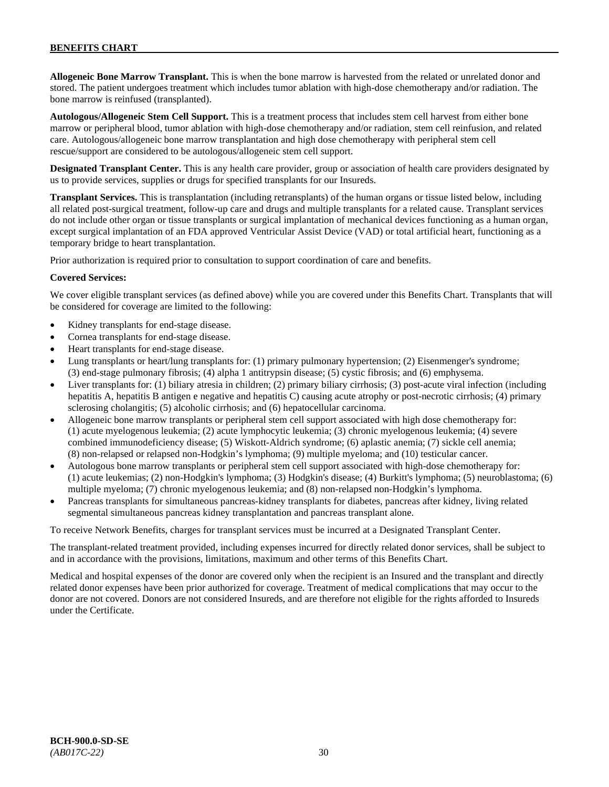**Allogeneic Bone Marrow Transplant.** This is when the bone marrow is harvested from the related or unrelated donor and stored. The patient undergoes treatment which includes tumor ablation with high-dose chemotherapy and/or radiation. The bone marrow is reinfused (transplanted).

**Autologous/Allogeneic Stem Cell Support.** This is a treatment process that includes stem cell harvest from either bone marrow or peripheral blood, tumor ablation with high-dose chemotherapy and/or radiation, stem cell reinfusion, and related care. Autologous/allogeneic bone marrow transplantation and high dose chemotherapy with peripheral stem cell rescue/support are considered to be autologous/allogeneic stem cell support.

**Designated Transplant Center.** This is any health care provider, group or association of health care providers designated by us to provide services, supplies or drugs for specified transplants for our Insureds.

**Transplant Services.** This is transplantation (including retransplants) of the human organs or tissue listed below, including all related post-surgical treatment, follow-up care and drugs and multiple transplants for a related cause. Transplant services do not include other organ or tissue transplants or surgical implantation of mechanical devices functioning as a human organ, except surgical implantation of an FDA approved Ventricular Assist Device (VAD) or total artificial heart, functioning as a temporary bridge to heart transplantation.

Prior authorization is required prior to consultation to support coordination of care and benefits.

### **Covered Services:**

We cover eligible transplant services (as defined above) while you are covered under this Benefits Chart. Transplants that will be considered for coverage are limited to the following:

- Kidney transplants for end-stage disease.
- Cornea transplants for end-stage disease.
- Heart transplants for end-stage disease.
- Lung transplants or heart/lung transplants for: (1) primary pulmonary hypertension; (2) Eisenmenger's syndrome; (3) end-stage pulmonary fibrosis; (4) alpha 1 antitrypsin disease; (5) cystic fibrosis; and (6) emphysema.
- Liver transplants for: (1) biliary atresia in children; (2) primary biliary cirrhosis; (3) post-acute viral infection (including hepatitis A, hepatitis B antigen e negative and hepatitis C) causing acute atrophy or post-necrotic cirrhosis; (4) primary sclerosing cholangitis; (5) alcoholic cirrhosis; and (6) hepatocellular carcinoma.
- Allogeneic bone marrow transplants or peripheral stem cell support associated with high dose chemotherapy for: (1) acute myelogenous leukemia; (2) acute lymphocytic leukemia; (3) chronic myelogenous leukemia; (4) severe combined immunodeficiency disease; (5) Wiskott-Aldrich syndrome; (6) aplastic anemia; (7) sickle cell anemia; (8) non-relapsed or relapsed non-Hodgkin's lymphoma; (9) multiple myeloma; and (10) testicular cancer.
- Autologous bone marrow transplants or peripheral stem cell support associated with high-dose chemotherapy for: (1) acute leukemias; (2) non-Hodgkin's lymphoma; (3) Hodgkin's disease; (4) Burkitt's lymphoma; (5) neuroblastoma; (6) multiple myeloma; (7) chronic myelogenous leukemia; and (8) non-relapsed non-Hodgkin's lymphoma.
- Pancreas transplants for simultaneous pancreas-kidney transplants for diabetes, pancreas after kidney, living related segmental simultaneous pancreas kidney transplantation and pancreas transplant alone.

To receive Network Benefits, charges for transplant services must be incurred at a Designated Transplant Center.

The transplant-related treatment provided, including expenses incurred for directly related donor services, shall be subject to and in accordance with the provisions, limitations, maximum and other terms of this Benefits Chart.

Medical and hospital expenses of the donor are covered only when the recipient is an Insured and the transplant and directly related donor expenses have been prior authorized for coverage. Treatment of medical complications that may occur to the donor are not covered. Donors are not considered Insureds, and are therefore not eligible for the rights afforded to Insureds under the Certificate.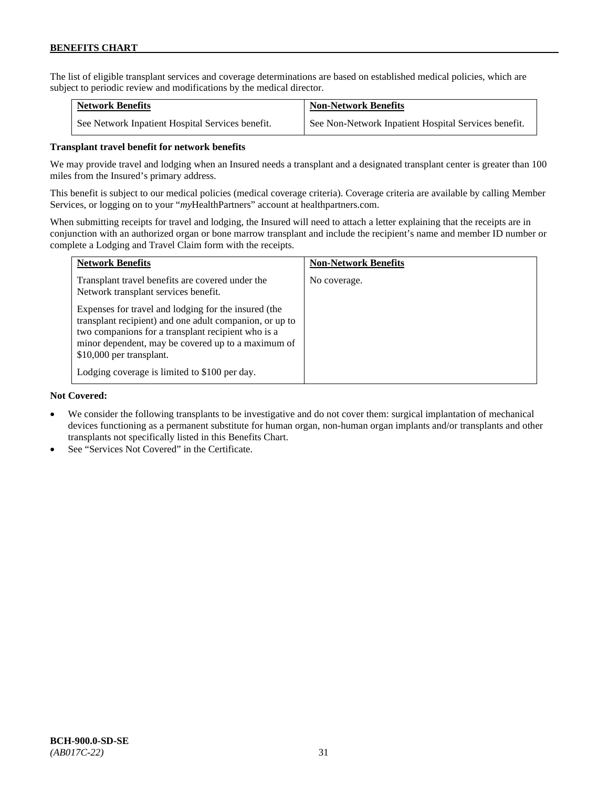The list of eligible transplant services and coverage determinations are based on established medical policies, which are subject to periodic review and modifications by the medical director.

| <b>Network Benefits</b>                          | <b>Non-Network Benefits</b>                          |
|--------------------------------------------------|------------------------------------------------------|
| See Network Inpatient Hospital Services benefit. | See Non-Network Inpatient Hospital Services benefit. |

# **Transplant travel benefit for network benefits**

We may provide travel and lodging when an Insured needs a transplant and a designated transplant center is greater than 100 miles from the Insured's primary address.

This benefit is subject to our medical policies (medical coverage criteria). Coverage criteria are available by calling Member Services, or logging on to your "*my*HealthPartners" account a[t healthpartners.com.](http://www.healthpartners.com/)

When submitting receipts for travel and lodging, the Insured will need to attach a letter explaining that the receipts are in conjunction with an authorized organ or bone marrow transplant and include the recipient's name and member ID number or complete a Lodging and Travel Claim form with the receipts.

| <b>Network Benefits</b>                                                                                                                                                                                                                                 | <b>Non-Network Benefits</b> |
|---------------------------------------------------------------------------------------------------------------------------------------------------------------------------------------------------------------------------------------------------------|-----------------------------|
| Transplant travel benefits are covered under the<br>Network transplant services benefit.                                                                                                                                                                | No coverage.                |
| Expenses for travel and lodging for the insured (the<br>transplant recipient) and one adult companion, or up to<br>two companions for a transplant recipient who is a<br>minor dependent, may be covered up to a maximum of<br>\$10,000 per transplant. |                             |
| Lodging coverage is limited to \$100 per day.                                                                                                                                                                                                           |                             |

### **Not Covered:**

- We consider the following transplants to be investigative and do not cover them: surgical implantation of mechanical devices functioning as a permanent substitute for human organ, non-human organ implants and/or transplants and other transplants not specifically listed in this Benefits Chart.
- See "Services Not Covered" in the Certificate.